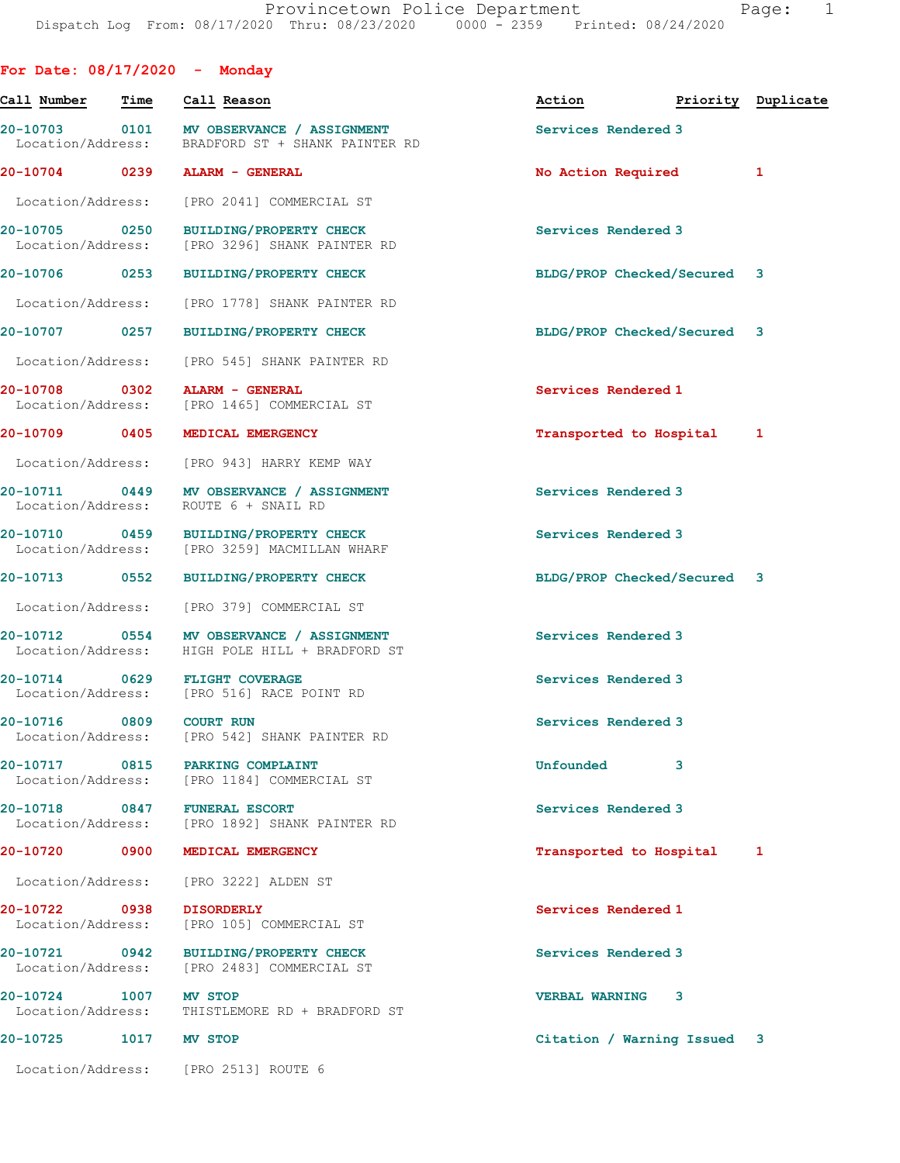| For Date: $08/17/2020 -$ Monday    |      |                                                                                              |                                  |   |
|------------------------------------|------|----------------------------------------------------------------------------------------------|----------------------------------|---|
| Call Number                        | Time | Call Reason                                                                                  | Action <b>Priority</b> Duplicate |   |
|                                    |      | 20-10703 0101 MV OBSERVANCE / ASSIGNMENT<br>Location/Address: BRADFORD ST + SHANK PAINTER RD | Services Rendered 3              |   |
|                                    |      | 20-10704 0239 ALARM - GENERAL                                                                | No Action Required               | 1 |
| Location/Address:                  |      | [PRO 2041] COMMERCIAL ST                                                                     |                                  |   |
|                                    |      | 20-10705 0250 BUILDING/PROPERTY CHECK<br>Location/Address: [PRO 3296] SHANK PAINTER RD       | Services Rendered 3              |   |
| 20-10706 0253                      |      | <b>BUILDING/PROPERTY CHECK</b>                                                               | BLDG/PROP Checked/Secured 3      |   |
| Location/Address:                  |      | [PRO 1778] SHANK PAINTER RD                                                                  |                                  |   |
|                                    |      | 20-10707 0257 BUILDING/PROPERTY CHECK                                                        | BLDG/PROP Checked/Secured 3      |   |
| Location/Address:                  |      | [PRO 545] SHANK PAINTER RD                                                                   |                                  |   |
|                                    |      | 20-10708 0302 ALARM - GENERAL<br>Location/Address: [PRO 1465] COMMERCIAL ST                  | Services Rendered 1              |   |
| 20-10709 0405                      |      | MEDICAL EMERGENCY                                                                            | Transported to Hospital 1        |   |
|                                    |      | Location/Address: [PRO 943] HARRY KEMP WAY                                                   |                                  |   |
| Location/Address:                  |      | 20-10711 0449 MV OBSERVANCE / ASSIGNMENT<br>ROUTE 6 + SNAIL RD                               | Services Rendered 3              |   |
|                                    |      | 20-10710 0459 BUILDING/PROPERTY CHECK<br>Location/Address: [PRO 3259] MACMILLAN WHARF        | Services Rendered 3              |   |
| 20-10713 0552                      |      | <b>BUILDING/PROPERTY CHECK</b>                                                               | BLDG/PROP Checked/Secured 3      |   |
| Location/Address:                  |      | [PRO 379] COMMERCIAL ST                                                                      |                                  |   |
|                                    |      | 20-10712 0554 MV OBSERVANCE / ASSIGNMENT<br>Location/Address: HIGH POLE HILL + BRADFORD ST   | Services Rendered 3              |   |
|                                    |      | 20-10714 0629 FLIGHT COVERAGE<br>Location/Address: [PRO 516] RACE POINT RD                   | Services Rendered 3              |   |
| 20-10716<br>Location/Address:      |      | 0809 COURT RUN<br>[PRO 542] SHANK PAINTER RD                                                 | Services Rendered 3              |   |
|                                    |      | 20-10717 0815 PARKING COMPLAINT<br>Location/Address: [PRO 1184] COMMERCIAL ST                | Unfounded 3                      |   |
|                                    |      | 20-10718 0847 FUNERAL ESCORT<br>Location/Address: [PRO 1892] SHANK PAINTER RD                | Services Rendered 3              |   |
| 20-10720 0900                      |      | MEDICAL EMERGENCY                                                                            | Transported to Hospital 1        |   |
|                                    |      | Location/Address: [PRO 3222] ALDEN ST                                                        |                                  |   |
| 20-10722 0938<br>Location/Address: |      | <b>DISORDERLY</b><br>[PRO 105] COMMERCIAL ST                                                 | Services Rendered 1              |   |
| Location/Address:                  |      | 20-10721 0942 BUILDING/PROPERTY CHECK<br>[PRO 2483] COMMERCIAL ST                            | Services Rendered 3              |   |
| 20-10724 1007 MV STOP              |      | Location/Address: THISTLEMORE RD + BRADFORD ST                                               | <b>VERBAL WARNING 3</b>          |   |
| 20-10725 1017 MV STOP              |      |                                                                                              | Citation / Warning Issued 3      |   |
|                                    |      | Location/Address: [PRO 2513] ROUTE 6                                                         |                                  |   |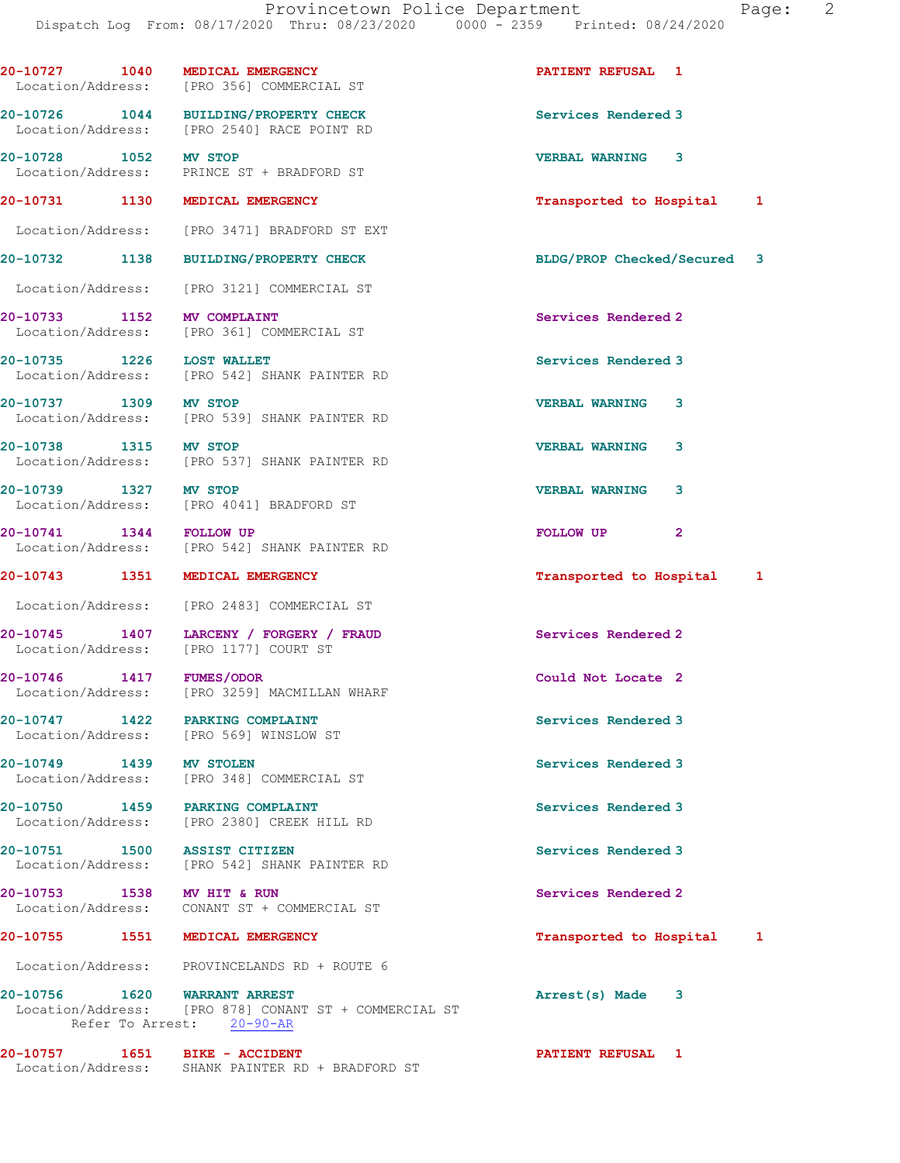| 20-10727 1040                   | MEDICAL EMERGENCY<br>Location/Address: [PRO 356] COMMERCIAL ST                      | <b>PATIENT REFUSAL 1</b>    |   |
|---------------------------------|-------------------------------------------------------------------------------------|-----------------------------|---|
|                                 | 20-10726 1044 BUILDING/PROPERTY CHECK<br>Location/Address: [PRO 2540] RACE POINT RD | Services Rendered 3         |   |
| 20-10728 1052 MV STOP           | Location/Address: PRINCE ST + BRADFORD ST                                           | <b>VERBAL WARNING 3</b>     |   |
| 20-10731 1130 MEDICAL EMERGENCY |                                                                                     | Transported to Hospital 1   |   |
|                                 | Location/Address: [PRO 3471] BRADFORD ST EXT                                        |                             |   |
|                                 | 20-10732 1138 BUILDING/PROPERTY CHECK                                               | BLDG/PROP Checked/Secured 3 |   |
|                                 | Location/Address: [PRO 3121] COMMERCIAL ST                                          |                             |   |
| 20-10733 1152 MV COMPLAINT      | Location/Address: [PRO 361] COMMERCIAL ST                                           | Services Rendered 2         |   |
| 20-10735 1226 LOST WALLET       | Location/Address: [PRO 542] SHANK PAINTER RD                                        | Services Rendered 3         |   |
| 20-10737 1309 MV STOP           | Location/Address: [PRO 539] SHANK PAINTER RD                                        | <b>VERBAL WARNING</b><br>3  |   |
| 20-10738 1315 MV STOP           | Location/Address: [PRO 537] SHANK PAINTER RD                                        | <b>VERBAL WARNING</b><br>3  |   |
| 20-10739 1327 MV STOP           | Location/Address: [PRO 4041] BRADFORD ST                                            | <b>VERBAL WARNING</b><br>3  |   |
| 20-10741 1344 FOLLOW UP         | Location/Address: [PRO 542] SHANK PAINTER RD                                        | FOLLOW UP<br>$\mathbf{2}$   |   |
| 20-10743 1351 MEDICAL EMERGENCY |                                                                                     | Transported to Hospital 1   |   |
|                                 | Location/Address: [PRO 2483] COMMERCIAL ST                                          |                             |   |
|                                 | 20-10745 1407 LARCENY / FORGERY / FRAUD<br>Location/Address: [PRO 1177] COURT ST    | Services Rendered 2         |   |
|                                 | Location/Address: [PRO 3259] MACMILLAN WHARF                                        | Could Not Locate 2          |   |
|                                 | 20-10747 1422 PARKING COMPLAINT<br>Location/Address: [PRO 569] WINSLOW ST           | Services Rendered 3         |   |
| 20-10749 1439 MV STOLEN         | Location/Address: [PRO 348] COMMERCIAL ST                                           | Services Rendered 3         |   |
| 20-10750 1459 PARKING COMPLAINT | Location/Address: [PRO 2380] CREEK HILL RD                                          | Services Rendered 3         |   |
| 20-10751 1500 ASSIST CITIZEN    | Location/Address: [PRO 542] SHANK PAINTER RD                                        | Services Rendered 3         |   |
| 20-10753 1538 MV HIT & RUN      | Location/Address: CONANT ST + COMMERCIAL ST                                         | Services Rendered 2         |   |
| 20-10755 1551 MEDICAL EMERGENCY |                                                                                     | Transported to Hospital     | 1 |
|                                 | Location/Address: PROVINCELANDS RD + ROUTE 6                                        |                             |   |
|                                 | Location/Address: [PRO 878] CONANT ST + COMMERCIAL ST<br>Refer To Arrest: 20-90-AR  | Arrest(s) Made<br>3         |   |
|                                 | 20-10757 1651 BIKE - ACCIDENT                                                       | <b>PATIENT REFUSAL 1</b>    |   |

Location/Address: SHANK PAINTER RD + BRADFORD ST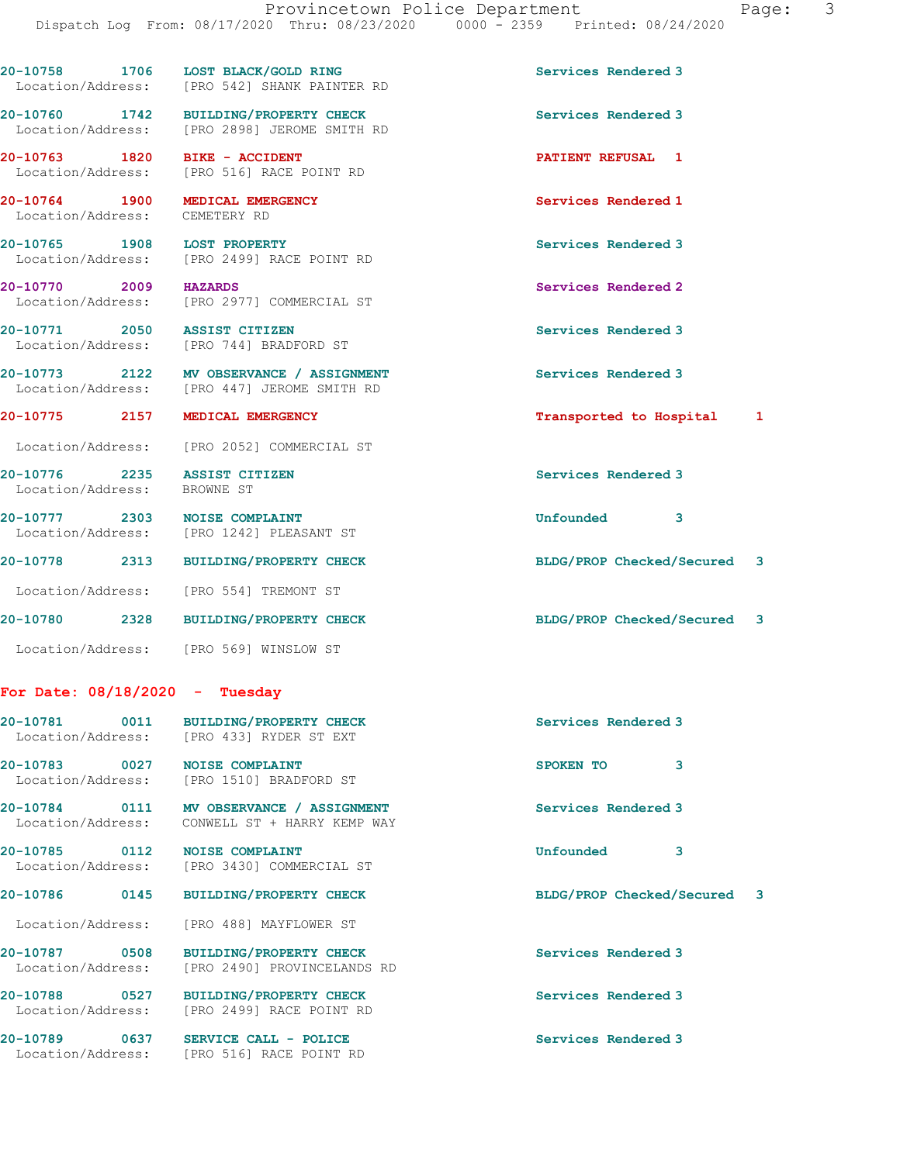| 20-10758          | 1706 |  | LOST BLACK/GOLD RING |                            |  | Services Rendered 3 |
|-------------------|------|--|----------------------|----------------------------|--|---------------------|
| Location/Address: |      |  |                      | [PRO 542] SHANK PAINTER RD |  |                     |

20-10760 1742 BUILDING/PROPERTY CHECK Services Rendered 3 Location/Address: [PRO 2898] JEROME SMITH RD

Location/Address: [PRO 516] RACE POINT RD

Location/Address: CEMETERY RD

20-10765 1908 LOST PROPERTY **1908 1999** Services Rendered 3 Location/Address: [PRO 2499] RACE POINT RD

Location/Address: [PRO 2977] COMMERCIAL ST

Location/Address: [PRO 744] BRADFORD ST

20-10773 2122 MV OBSERVANCE / ASSIGNMENT Services Rendered 3

Location/Address: [PRO 447] JEROME SMITH RD

Location/Address: [PRO 2052] COMMERCIAL ST

Location/Address: BROWNE ST

20-10777 2303 NOISE COMPLAINT Unfounded 3 Location/Address: [PRO 1242] PLEASANT ST

20-10778 2313 BUILDING/PROPERTY CHECK BLDG/PROP Checked/Secured 3 Location/Address: [PRO 554] TREMONT ST

Location/Address: [PRO 569] WINSLOW ST

## For Date: 08/18/2020 - Tuesday

|                                    | 20-10781 0011 BUILDING/PROPERTY CHECK<br>Location/Address: [PRO 433] RYDER ST EXT         | Services Rendered 3         |
|------------------------------------|-------------------------------------------------------------------------------------------|-----------------------------|
| 20-10783 0027 NOISE COMPLAINT      | Location/Address: [PRO 1510] BRADFORD ST                                                  | 3<br>SPOKEN TO              |
|                                    | 20-10784 0111 MV OBSERVANCE / ASSIGNMENT<br>Location/Address: CONWELL ST + HARRY KEMP WAY | Services Rendered 3         |
| 20-10785 0112 NOISE COMPLAINT      | Location/Address: [PRO 3430] COMMERCIAL ST                                                | 3<br>Unfounded              |
|                                    | 20-10786 0145 BUILDING/PROPERTY CHECK                                                     | BLDG/PROP Checked/Secured 3 |
|                                    | Location/Address: [PRO 488] MAYFLOWER ST                                                  |                             |
|                                    | 20-10787 0508 BUILDING/PROPERTY CHECK<br>Location/Address: [PRO 2490] PROVINCELANDS RD    | Services Rendered 3         |
|                                    | 20-10788 0527 BUILDING/PROPERTY CHECK<br>Location/Address: [PRO 2499] RACE POINT RD       | Services Rendered 3         |
| 20-10789 0637<br>Location/Address: | SERVICE CALL - POLICE<br>[PRO 516] RACE POINT RD                                          | Services Rendered 3         |

20-10763 1820 BIKE - ACCIDENT PATIENT REFUSAL 1 20-10764 1900 MEDICAL EMERGENCY Services Rendered 1

20-10770 2009 HAZARDS 20 Services Rendered 2

20-10771 2050 ASSIST CITIZEN Services Rendered 3

20-10775 2157 MEDICAL EMERGENCY Transported to Hospital 1

20-10776 2235 ASSIST CITIZEN Services Rendered 3

20-10780 2328 BUILDING/PROPERTY CHECK BLDG/PROP Checked/Secured 3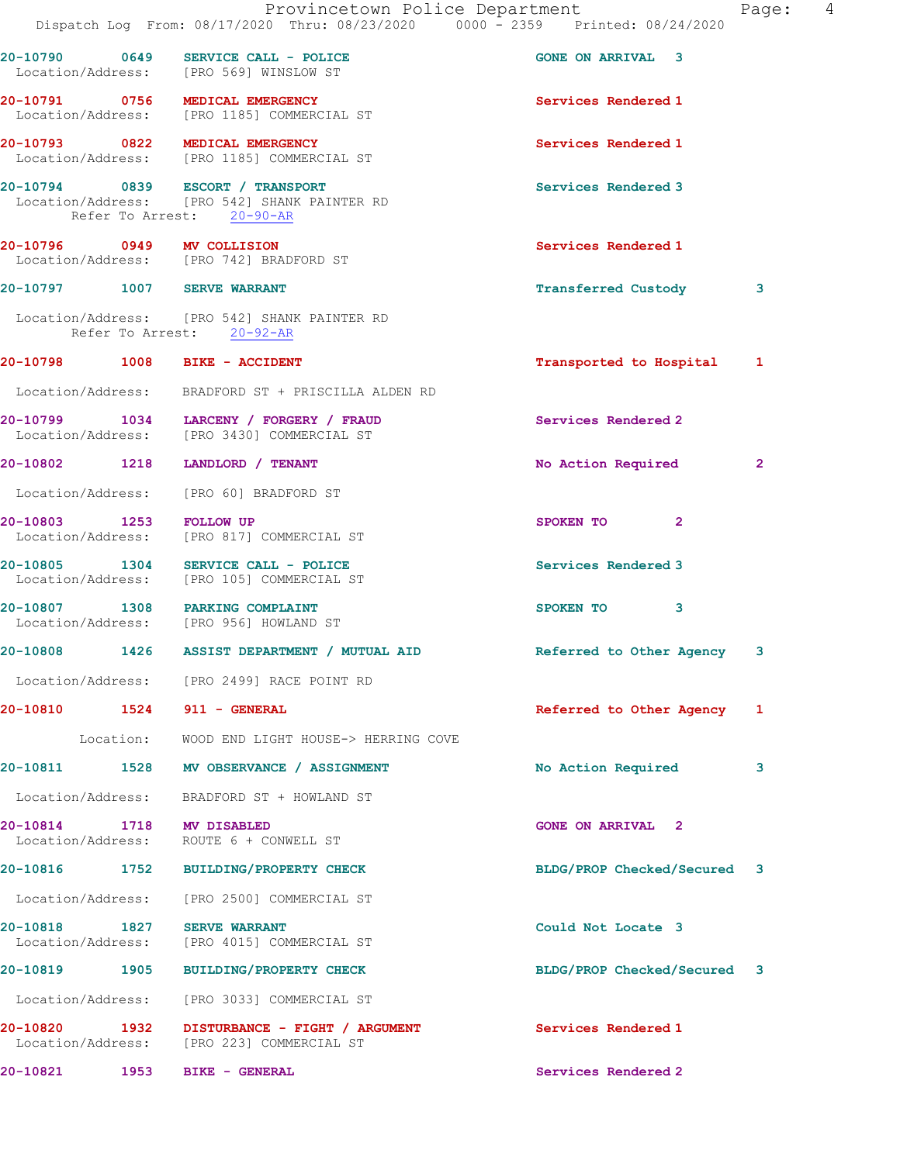|  | Provincetown Police Department<br>Dispatch Log From: 08/17/2020 Thru: 08/23/2020 0000 - 2359 Printed: 08/24/2020 |                             | 4<br>Page:   |
|--|------------------------------------------------------------------------------------------------------------------|-----------------------------|--------------|
|  | 20-10790 0649 SERVICE CALL - POLICE<br>Location/Address: [PRO 569] WINSLOW ST                                    | <b>GONE ON ARRIVAL 3</b>    |              |
|  | 20-10791 0756 MEDICAL EMERGENCY<br>Location/Address: [PRO 1185] COMMERCIAL ST                                    | Services Rendered 1         |              |
|  | 20-10793 0822 MEDICAL EMERGENCY<br>Location/Address: [PRO 1185] COMMERCIAL ST                                    | Services Rendered 1         |              |
|  | 20-10794 0839 ESCORT / TRANSPORT<br>Location/Address: [PRO 542] SHANK PAINTER RD<br>Refer To Arrest: 20-90-AR    | Services Rendered 3         |              |
|  | 20-10796 0949 MV COLLISION<br>Location/Address: [PRO 742] BRADFORD ST                                            | Services Rendered 1         |              |
|  | 20-10797 1007 SERVE WARRANT                                                                                      | <b>Transferred Custody</b>  | 3            |
|  | Location/Address: [PRO 542] SHANK PAINTER RD<br>Refer To Arrest: 20-92-AR                                        |                             |              |
|  | 20-10798 1008 BIKE - ACCIDENT                                                                                    | Transported to Hospital 1   |              |
|  | Location/Address: BRADFORD ST + PRISCILLA ALDEN RD                                                               |                             |              |
|  | 20-10799 1034 LARCENY / FORGERY / FRAUD<br>Location/Address: [PRO 3430] COMMERCIAL ST                            | Services Rendered 2         |              |
|  | 20-10802 1218 LANDLORD / TENANT                                                                                  | No Action Required          | $\mathbf{2}$ |
|  | Location/Address: [PRO 60] BRADFORD ST                                                                           |                             |              |
|  | 20-10803 1253 FOLLOW UP<br>Location/Address: [PRO 817] COMMERCIAL ST                                             | SPOKEN TO<br>$\mathbf{2}$   |              |
|  | 20-10805 1304 SERVICE CALL - POLICE<br>Location/Address: [PRO 105] COMMERCIAL ST                                 | Services Rendered 3         |              |
|  | 20-10807 1308 PARKING COMPLAINT<br>Location/Address: [PRO 956] HOWLAND ST                                        | SPOKEN TO<br>3              |              |
|  | 20-10808 1426 ASSIST DEPARTMENT / MUTUAL AID Referred to Other Agency                                            |                             | 3            |
|  | Location/Address: [PRO 2499] RACE POINT RD                                                                       |                             |              |
|  | 20-10810 1524 911 - GENERAL                                                                                      | Referred to Other Agency 1  |              |
|  | Location: WOOD END LIGHT HOUSE-> HERRING COVE                                                                    |                             |              |
|  | 20-10811 1528 MV OBSERVANCE / ASSIGNMENT                                                                         | No Action Required          | 3            |
|  | Location/Address: BRADFORD ST + HOWLAND ST                                                                       |                             |              |
|  | 20-10814 1718 MV DISABLED<br>Location/Address: ROUTE 6 + CONWELL ST                                              | <b>GONE ON ARRIVAL 2</b>    |              |
|  | 20-10816 1752 BUILDING/PROPERTY CHECK                                                                            | BLDG/PROP Checked/Secured 3 |              |
|  | Location/Address: [PRO 2500] COMMERCIAL ST                                                                       |                             |              |
|  | 20-10818 1827 SERVE WARRANT<br>Location/Address: [PRO 4015] COMMERCIAL ST                                        | Could Not Locate 3          |              |
|  | 20-10819 1905 BUILDING/PROPERTY CHECK                                                                            | BLDG/PROP Checked/Secured 3 |              |
|  | Location/Address: [PRO 3033] COMMERCIAL ST                                                                       |                             |              |
|  | 20-10820 1932 DISTURBANCE - FIGHT / ARGUMENT<br>Location/Address: [PRO 223] COMMERCIAL ST                        | Services Rendered 1         |              |
|  | 20-10821 1953 BIKE - GENERAL                                                                                     | Services Rendered 2         |              |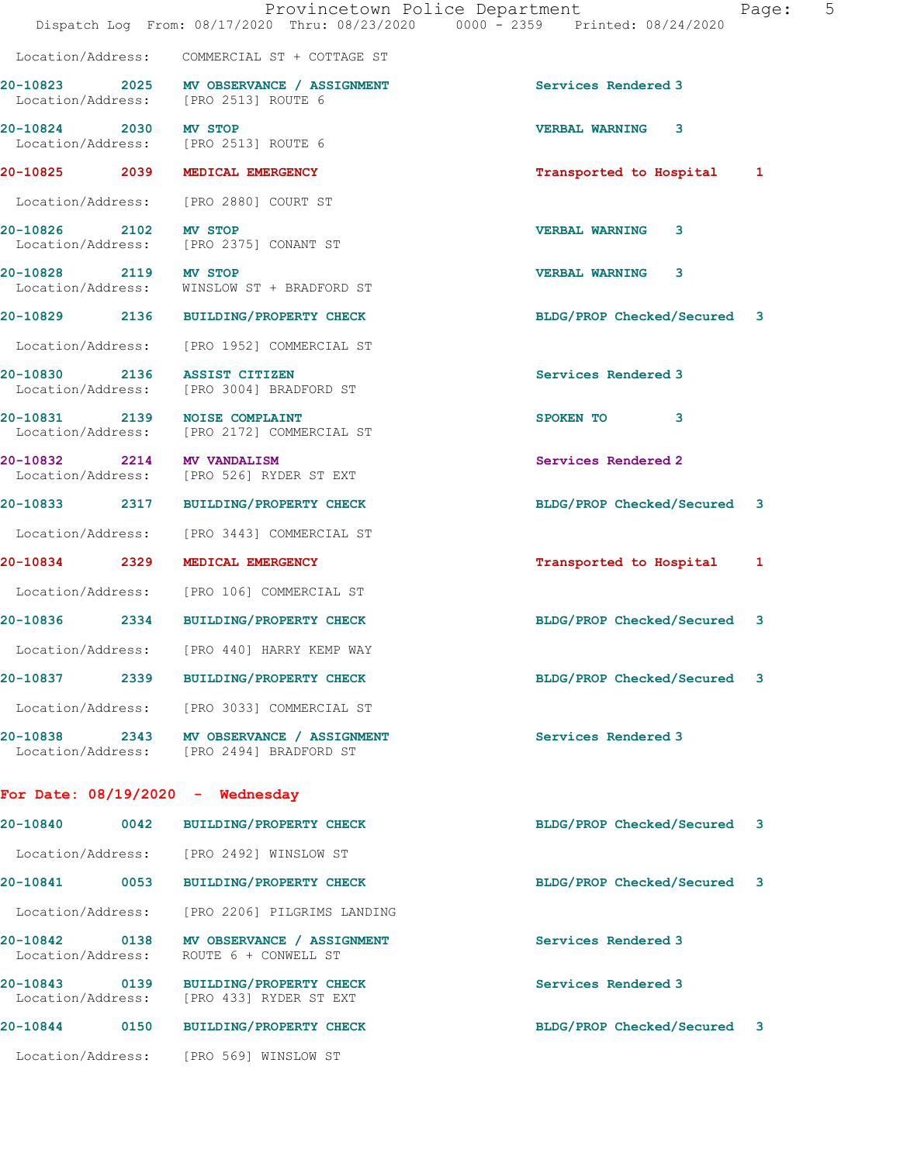|                                    | Provincetown Police Department<br>Dispatch Log From: 08/17/2020 Thru: 08/23/2020 0000 - 2359 Printed: 08/24/2020 |                             | 5<br>Page: |
|------------------------------------|------------------------------------------------------------------------------------------------------------------|-----------------------------|------------|
|                                    | Location/Address: COMMERCIAL ST + COTTAGE ST                                                                     |                             |            |
|                                    | 20-10823 2025 MV OBSERVANCE / ASSIGNMENT<br>Location/Address: [PRO 2513] ROUTE 6                                 | Services Rendered 3         |            |
| 20-10824 2030 MV STOP              | Location/Address: [PRO 2513] ROUTE 6                                                                             | <b>VERBAL WARNING</b><br>3  |            |
|                                    | 20-10825 2039 MEDICAL EMERGENCY                                                                                  | Transported to Hospital 1   |            |
|                                    | Location/Address: [PRO 2880] COURT ST                                                                            |                             |            |
| 20-10826 2102 MV STOP              | Location/Address: [PRO 2375] CONANT ST                                                                           | <b>VERBAL WARNING</b><br>3  |            |
| 20-10828 2119 MV STOP              | Location/Address: WINSLOW ST + BRADFORD ST                                                                       | <b>VERBAL WARNING</b><br>3  |            |
|                                    | 20-10829 2136 BUILDING/PROPERTY CHECK                                                                            | BLDG/PROP Checked/Secured 3 |            |
|                                    | Location/Address: [PRO 1952] COMMERCIAL ST                                                                       |                             |            |
| 20-10830 2136 ASSIST CITIZEN       | Location/Address: [PRO 3004] BRADFORD ST                                                                         | Services Rendered 3         |            |
| 20-10831 2139 NOISE COMPLAINT      | Location/Address: [PRO 2172] COMMERCIAL ST                                                                       | SPOKEN TO 3                 |            |
| 20-10832 2214 MV VANDALISM         | Location/Address: [PRO 526] RYDER ST EXT                                                                         | Services Rendered 2         |            |
|                                    | 20-10833 2317 BUILDING/PROPERTY CHECK                                                                            | BLDG/PROP Checked/Secured 3 |            |
|                                    | Location/Address: [PRO 3443] COMMERCIAL ST                                                                       |                             |            |
|                                    | 20-10834 2329 MEDICAL EMERGENCY                                                                                  | Transported to Hospital     | 1          |
|                                    | Location/Address: [PRO 106] COMMERCIAL ST                                                                        |                             |            |
|                                    | 20-10836 2334 BUILDING/PROPERTY CHECK                                                                            | BLDG/PROP Checked/Secured 3 |            |
|                                    | Location/Address: [PRO 440] HARRY KEMP WAY                                                                       |                             |            |
|                                    | 20-10837 2339 BUILDING/PROPERTY CHECK                                                                            | BLDG/PROP Checked/Secured 3 |            |
|                                    | Location/Address: [PRO 3033] COMMERCIAL ST                                                                       |                             |            |
|                                    | 20-10838 2343 MV OBSERVANCE / ASSIGNMENT<br>Location/Address: [PRO 2494] BRADFORD ST                             | Services Rendered 3         |            |
| For Date: $08/19/2020$ - Wednesday |                                                                                                                  |                             |            |
|                                    | 20-10840 0042 BUILDING/PROPERTY CHECK                                                                            | BLDG/PROP Checked/Secured 3 |            |
|                                    | Location/Address: [PRO 2492] WINSLOW ST                                                                          |                             |            |
|                                    | 20-10841 0053 BUILDING/PROPERTY CHECK                                                                            | BLDG/PROP Checked/Secured 3 |            |
|                                    | Location/Address: [PRO 2206] PILGRIMS LANDING                                                                    |                             |            |
| Location/Address:                  | 20-10842 0138 MV OBSERVANCE / ASSIGNMENT<br>ROUTE 6 + CONWELL ST                                                 | Services Rendered 3         |            |
|                                    | 20-10843 0139 BUILDING/PROPERTY CHECK<br>Location/Address: [PRO 433] RYDER ST EXT                                | Services Rendered 3         |            |
| 20-10844<br>0150                   | <b>BUILDING/PROPERTY CHECK</b>                                                                                   | BLDG/PROP Checked/Secured 3 |            |

Location/Address: [PRO 569] WINSLOW ST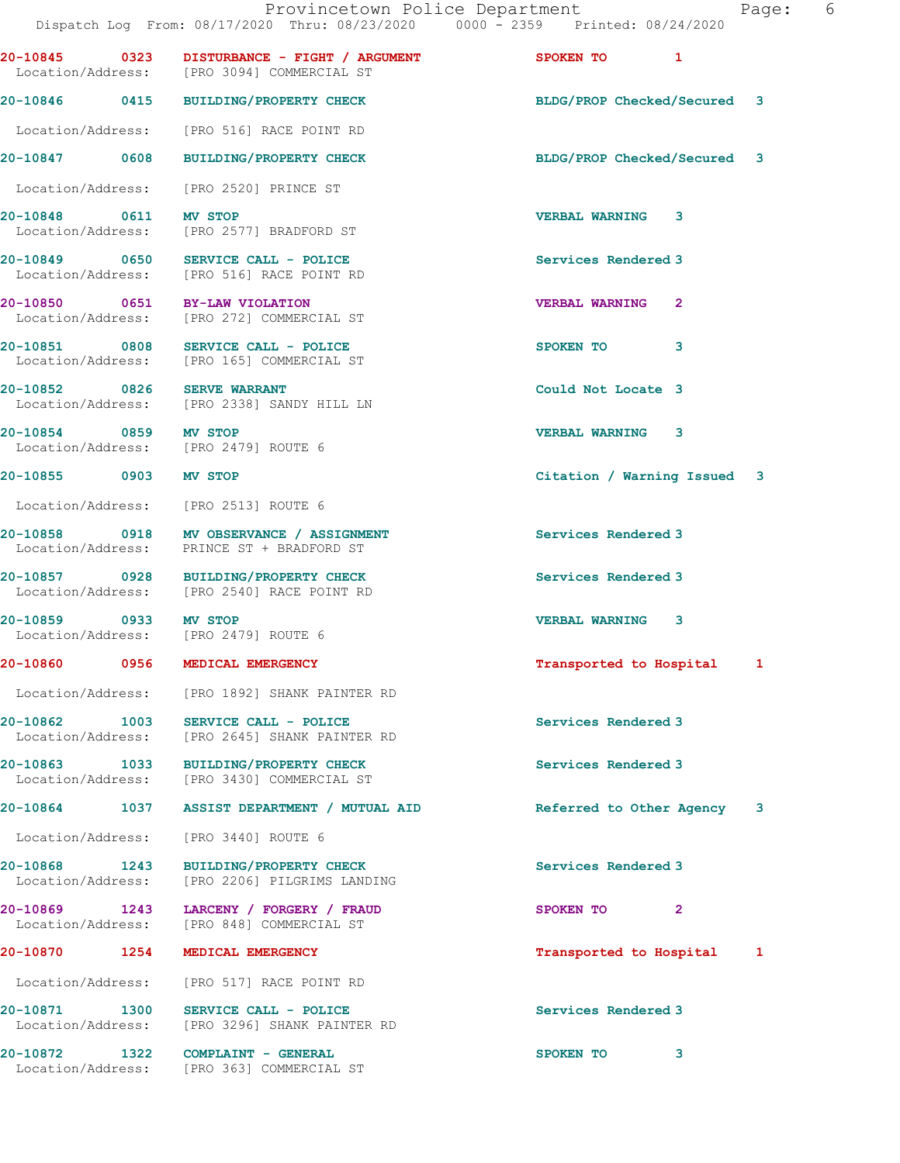| qе |  | n |
|----|--|---|
|    |  |   |

|                                                               |                                                                                            | Dispatch Log From: 08/17/2020 Thru: 08/23/2020 0000 - 2359 Printed: 08/24/2020 |
|---------------------------------------------------------------|--------------------------------------------------------------------------------------------|--------------------------------------------------------------------------------|
|                                                               | 20-10845 0323 DISTURBANCE - FIGHT / ARGUMENT<br>Location/Address: [PRO 3094] COMMERCIAL ST | SPOKEN TO 1                                                                    |
|                                                               | 20-10846 0415 BUILDING/PROPERTY CHECK                                                      | BLDG/PROP Checked/Secured 3                                                    |
|                                                               | Location/Address: [PRO 516] RACE POINT RD                                                  |                                                                                |
|                                                               | 20-10847 0608 BUILDING/PROPERTY CHECK                                                      | BLDG/PROP Checked/Secured 3                                                    |
|                                                               | Location/Address: [PRO 2520] PRINCE ST                                                     |                                                                                |
| 20-10848 0611 MV STOP                                         | Location/Address: [PRO 2577] BRADFORD ST                                                   | <b>VERBAL WARNING 3</b>                                                        |
|                                                               | 20-10849 0650 SERVICE CALL - POLICE<br>Location/Address: [PRO 516] RACE POINT RD           | Services Rendered 3                                                            |
|                                                               | 20-10850 0651 BY-LAW VIOLATION<br>Location/Address: [PRO 272] COMMERCIAL ST                | <b>VERBAL WARNING</b><br>$\mathbf{2}$                                          |
|                                                               | 20-10851 0808 SERVICE CALL - POLICE<br>Location/Address: [PRO 165] COMMERCIAL ST           | SPOKEN TO<br>3                                                                 |
| 20-10852 0826 SERVE WARRANT                                   | Location/Address: [PRO 2338] SANDY HILL LN                                                 | Could Not Locate 3                                                             |
| 20-10854 0859 MV STOP<br>Location/Address: [PRO 2479] ROUTE 6 |                                                                                            | <b>VERBAL WARNING 3</b>                                                        |
| 20-10855 0903 MV STOP                                         |                                                                                            | Citation / Warning Issued 3                                                    |
| Location/Address: [PRO 2513] ROUTE 6                          |                                                                                            |                                                                                |
|                                                               | 20-10858 0918 MV OBSERVANCE / ASSIGNMENT<br>Location/Address: PRINCE ST + BRADFORD ST      | Services Rendered 3                                                            |
|                                                               | 20-10857 0928 BUILDING/PROPERTY CHECK<br>Location/Address: [PRO 2540] RACE POINT RD        | Services Rendered 3                                                            |
| 20-10859 0933 MV STOP<br>Location/Address: [PRO 2479] ROUTE 6 |                                                                                            | <b>VERBAL WARNING 3</b>                                                        |
| 20-10860 0956 MEDICAL EMERGENCY                               |                                                                                            | Transported to Hospital 1                                                      |
|                                                               | Location/Address: [PRO 1892] SHANK PAINTER RD                                              |                                                                                |
|                                                               | 20-10862 1003 SERVICE CALL - POLICE<br>Location/Address: [PRO 2645] SHANK PAINTER RD       | Services Rendered 3                                                            |
|                                                               | 20-10863 1033 BUILDING/PROPERTY CHECK<br>Location/Address: [PRO 3430] COMMERCIAL ST        | Services Rendered 3                                                            |
|                                                               | 20-10864 1037 ASSIST DEPARTMENT / MUTUAL AID                                               | Referred to Other Agency<br>3                                                  |
| Location/Address: [PRO 3440] ROUTE 6                          |                                                                                            |                                                                                |
|                                                               | 20-10868 1243 BUILDING/PROPERTY CHECK<br>Location/Address: [PRO 2206] PILGRIMS LANDING     | Services Rendered 3                                                            |
|                                                               | 20-10869 1243 LARCENY / FORGERY / FRAUD<br>Location/Address: [PRO 848] COMMERCIAL ST       | SPOKEN TO<br>$\mathbf{2}$                                                      |
| 20-10870 1254 MEDICAL EMERGENCY                               |                                                                                            | Transported to Hospital 1                                                      |
|                                                               | Location/Address: [PRO 517] RACE POINT RD                                                  |                                                                                |
|                                                               | 20-10871 1300 SERVICE CALL - POLICE<br>Location/Address: [PRO 3296] SHANK PAINTER RD       | Services Rendered 3                                                            |
| 20-10872 1322 COMPLAINT - GENERAL                             | Location/Address: [PRO 363] COMMERCIAL ST                                                  | SPOKEN TO<br>3                                                                 |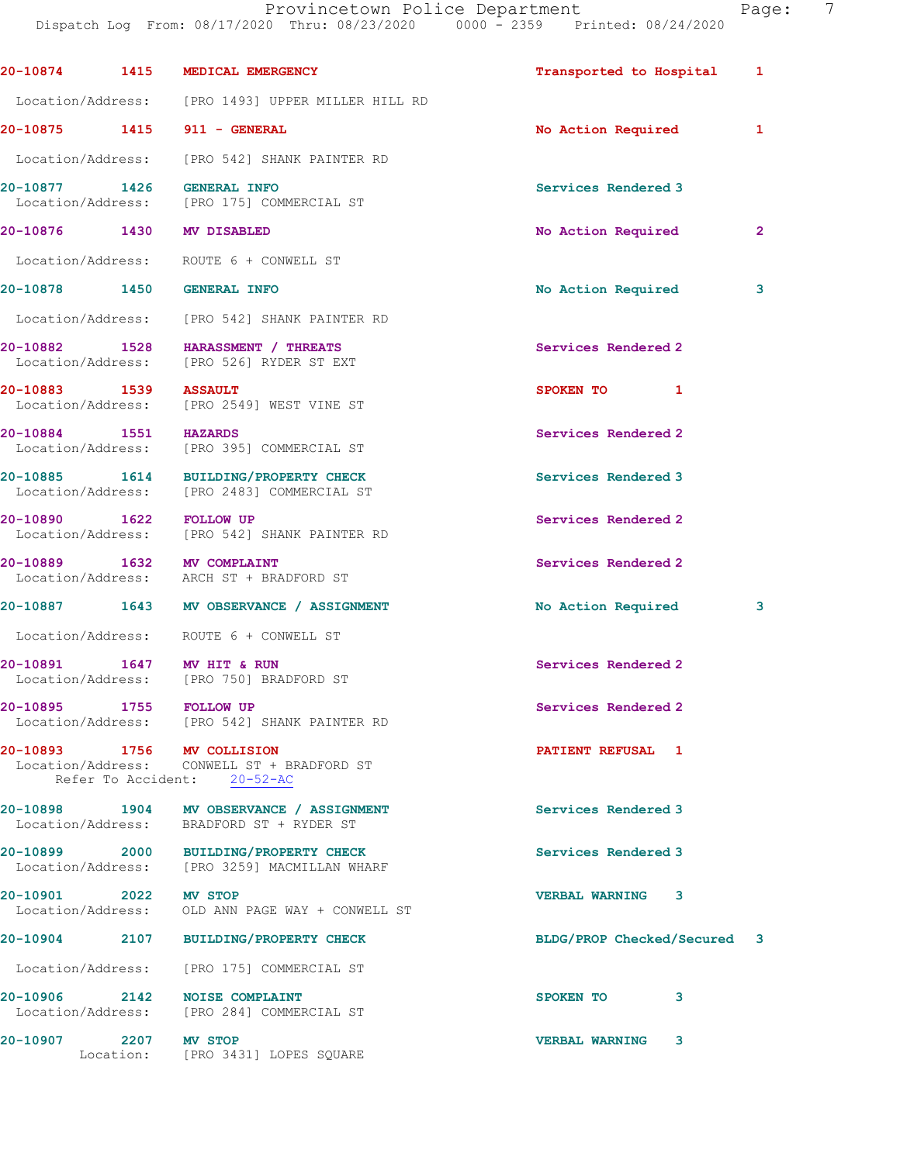Provincetown Police Department Page: 7 Dispatch Log From: 08/17/2020 Thru: 08/23/2020 0000 - 2359 Printed: 08/24/2020 20-10874 1415 MEDICAL EMERGENCY Transported to Hospital 1 Location/Address: [PRO 1493] UPPER MILLER HILL RD 20-10875 1415 911 - GENERAL 1 No Action Required 1 Location/Address: [PRO 542] SHANK PAINTER RD 20-10877 1426 GENERAL INFO Services Rendered 3 Location/Address: [PRO 175] COMMERCIAL ST 20-10876 1430 MV DISABLED 20-10876 No Action Required 2 Location/Address: ROUTE 6 + CONWELL ST 20-10878 1450 GENERAL INFO 20 No Action Required 3 Location/Address: [PRO 542] SHANK PAINTER RD 20-10882 1528 HARASSMENT / THREATS Services Rendered 2 Location/Address: [PRO 526] RYDER ST EXT 20-10883 1539 ASSAULT SPOKEN TO 1 Location/Address: [PRO 2549] WEST VINE ST 20-10884 1551 HAZARDS Services Rendered 2 Location/Address: [PRO 395] COMMERCIAL ST 20-10885 1614 BUILDING/PROPERTY CHECK Services Rendered 3 Location/Address: [PRO 2483] COMMERCIAL ST 20-10890 1622 FOLLOW UP Services Rendered 2 Location/Address: [PRO 542] SHANK PAINTER RD 20-10889 1632 MV COMPLAINT Services Rendered 2 Location/Address: ARCH ST + BRADFORD ST 20-10887 1643 MV OBSERVANCE / ASSIGNMENT No Action Required 3 Location/Address: ROUTE 6 + CONWELL ST 20-10891 1647 MV HIT & RUN Services Rendered 2 Location/Address: [PRO 750] BRADFORD ST 20-10895 1755 FOLLOW UP 30 and 200 Services Rendered 2 Location/Address: [PRO 542] SHANK PAINTER RD 20-10893 1756 MV COLLISION PATIENT REFUSAL 1 Location/Address: CONWELL ST + BRADFORD ST Refer To Accident: 20-52-AC

20-10898 1904 MV OBSERVANCE / ASSIGNMENT Services Rendered 3 Location/Address: BRADFORD ST + RYDER ST

20-10899 2000 BUILDING/PROPERTY CHECK Services Rendered 3 Location/Address: [PRO 3259] MACMILLAN WHARF

20-10901 2022 MV STOP VERBAL WARNING 3 Location/Address: OLD ANN PAGE WAY + CONWELL ST

20-10904 2107 BUILDING/PROPERTY CHECK BLDG/PROP Checked/Secured 3

Location/Address: [PRO 175] COMMERCIAL ST

20-10906 2142 NOISE COMPLAINT **SPOKEN TO** 3 Location/Address: [PRO 284] COMMERCIAL ST

20-10907 2207 MV STOP 2001 2001 2002 2003 2004 2207 2207 2207 2207 23 Location: [PRO 3431] LOPES SQUARE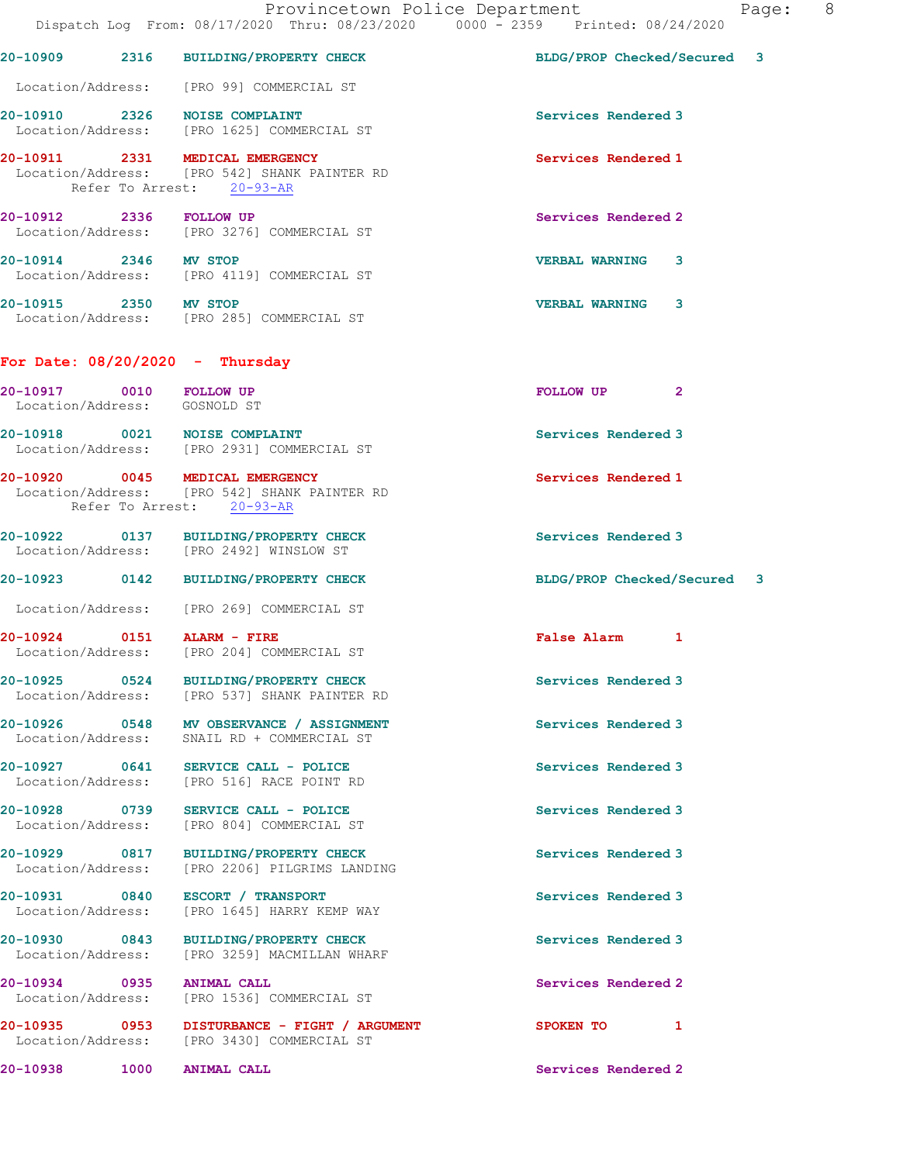|                                                         | Provincetown Police Department<br>Dispatch Log From: 08/17/2020 Thru: 08/23/2020 0000 - 2359 Printed: 08/24/2020 |                             |              | Page: | 8 <sup>8</sup> |
|---------------------------------------------------------|------------------------------------------------------------------------------------------------------------------|-----------------------------|--------------|-------|----------------|
|                                                         | 20-10909 2316 BUILDING/PROPERTY CHECK                                                                            | BLDG/PROP Checked/Secured 3 |              |       |                |
|                                                         | Location/Address: [PRO 99] COMMERCIAL ST                                                                         |                             |              |       |                |
|                                                         | 20-10910 2326 NOISE COMPLAINT<br>Location/Address: [PRO 1625] COMMERCIAL ST                                      | Services Rendered 3         |              |       |                |
|                                                         | 20-10911 2331 MEDICAL EMERGENCY<br>Location/Address: [PRO 542] SHANK PAINTER RD<br>Refer To Arrest: 20-93-AR     | Services Rendered 1         |              |       |                |
| 20-10912 2336 FOLLOW UP                                 | Location/Address: [PRO 3276] COMMERCIAL ST                                                                       | Services Rendered 2         |              |       |                |
| 20-10914 2346 MV STOP                                   | Location/Address: [PRO 4119] COMMERCIAL ST                                                                       | <b>VERBAL WARNING 3</b>     |              |       |                |
| 20-10915 2350 MV STOP                                   | Location/Address: [PRO 285] COMMERCIAL ST                                                                        | <b>VERBAL WARNING 3</b>     |              |       |                |
| For Date: $08/20/2020 -$ Thursday                       |                                                                                                                  |                             |              |       |                |
| 20-10917 0010 FOLLOW UP<br>Location/Address: GOSNOLD ST |                                                                                                                  | FOLLOW UP                   | $\mathbf{2}$ |       |                |
|                                                         | 20-10918 0021 NOISE COMPLAINT<br>Location/Address: [PRO 2931] COMMERCIAL ST                                      | Services Rendered 3         |              |       |                |
|                                                         | 20-10920 0045 MEDICAL EMERGENCY<br>Location/Address: [PRO 542] SHANK PAINTER RD<br>Refer To Arrest: 20-93-AR     | Services Rendered 1         |              |       |                |
|                                                         | 20-10922 0137 BUILDING/PROPERTY CHECK<br>Location/Address: [PRO 2492] WINSLOW ST                                 | Services Rendered 3         |              |       |                |
|                                                         | 20-10923 0142 BUILDING/PROPERTY CHECK                                                                            | BLDG/PROP Checked/Secured 3 |              |       |                |
|                                                         | Location/Address: [PRO 269] COMMERCIAL ST                                                                        |                             |              |       |                |
| 20-10924 0151 ALARM - FIRE                              | Location/Address: [PRO 204] COMMERCIAL ST                                                                        | False Alarm 1               |              |       |                |
|                                                         | 20-10925 0524 BUILDING/PROPERTY CHECK<br>Location/Address: [PRO 537] SHANK PAINTER RD                            | Services Rendered 3         |              |       |                |
|                                                         | 20-10926 0548 MV OBSERVANCE / ASSIGNMENT<br>Location/Address: SNAIL RD + COMMERCIAL ST                           | Services Rendered 3         |              |       |                |
|                                                         | 20-10927 0641 SERVICE CALL - POLICE<br>Location/Address: [PRO 516] RACE POINT RD                                 | Services Rendered 3         |              |       |                |
|                                                         | 20-10928 0739 SERVICE CALL - POLICE<br>Location/Address: [PRO 804] COMMERCIAL ST                                 | Services Rendered 3         |              |       |                |
|                                                         | 20-10929 0817 BUILDING/PROPERTY CHECK<br>Location/Address: [PRO 2206] PILGRIMS LANDING                           | Services Rendered 3         |              |       |                |
|                                                         | 20-10931 0840 ESCORT / TRANSPORT<br>Location/Address: [PRO 1645] HARRY KEMP WAY                                  | Services Rendered 3         |              |       |                |
|                                                         | 20-10930 0843 BUILDING/PROPERTY CHECK<br>Location/Address: [PRO 3259] MACMILLAN WHARF                            | Services Rendered 3         |              |       |                |
| 20-10934 0935 ANIMAL CALL                               | Location/Address: [PRO 1536] COMMERCIAL ST                                                                       | Services Rendered 2         |              |       |                |
|                                                         | 20-10935 0953 DISTURBANCE - FIGHT / ARGUMENT<br>Location/Address: [PRO 3430] COMMERCIAL ST                       | SPOKEN TO 1                 |              |       |                |
| 20-10938 1000                                           | ANIMAL CALL                                                                                                      | Services Rendered 2         |              |       |                |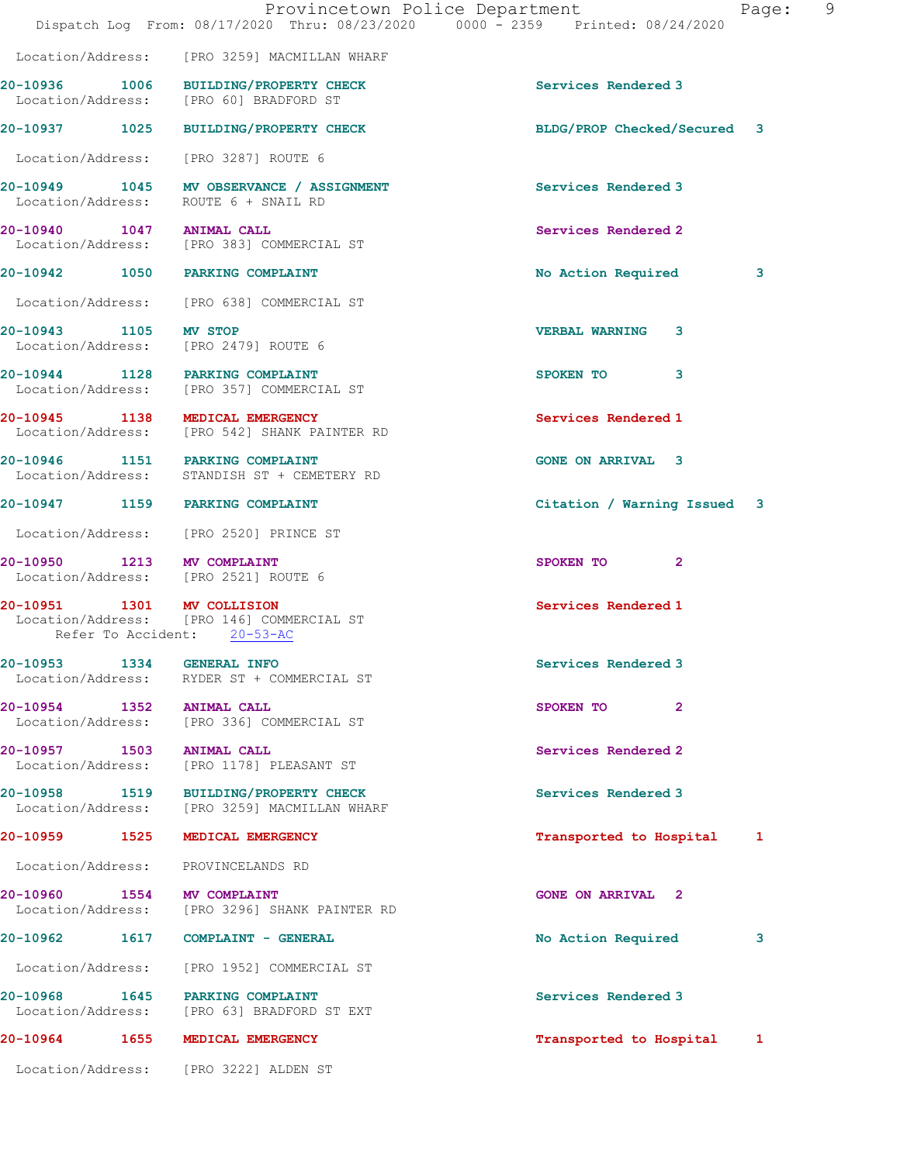|                       | Dispatch Log From: 08/17/2020 Thru: 08/23/2020 0000 - 2359 Printed: 08/24/2020                         | Provincetown Police Department<br>Page: | $\overline{9}$ |
|-----------------------|--------------------------------------------------------------------------------------------------------|-----------------------------------------|----------------|
|                       | Location/Address: [PRO 3259] MACMILLAN WHARF                                                           |                                         |                |
|                       | 20-10936 1006 BUILDING/PROPERTY CHECK<br>Location/Address: [PRO 60] BRADFORD ST                        | Services Rendered 3                     |                |
|                       | 20-10937 1025 BUILDING/PROPERTY CHECK                                                                  | BLDG/PROP Checked/Secured 3             |                |
|                       | Location/Address: [PRO 3287] ROUTE 6                                                                   |                                         |                |
|                       | 20-10949 1045 MV OBSERVANCE / ASSIGNMENT<br>Location/Address: ROUTE 6 + SNAIL RD                       | Services Rendered 3                     |                |
|                       | 20-10940 1047 ANIMAL CALL<br>Location/Address: [PRO 383] COMMERCIAL ST                                 | Services Rendered 2                     |                |
|                       | 20-10942 1050 PARKING COMPLAINT                                                                        | No Action Required<br>3                 |                |
|                       | Location/Address: [PRO 638] COMMERCIAL ST                                                              |                                         |                |
| 20-10943 1105 MV STOP | Location/Address: [PRO 2479] ROUTE 6                                                                   | <b>VERBAL WARNING 3</b>                 |                |
|                       | 20-10944 1128 PARKING COMPLAINT<br>Location/Address: [PRO 357] COMMERCIAL ST                           | SPOKEN TO<br>3                          |                |
|                       | 20-10945 1138 MEDICAL EMERGENCY<br>Location/Address: [PRO 542] SHANK PAINTER RD                        | Services Rendered 1                     |                |
|                       | 20-10946 1151 PARKING COMPLAINT<br>Location/Address: STANDISH ST + CEMETERY RD                         | <b>GONE ON ARRIVAL 3</b>                |                |
|                       | 20-10947 1159 PARKING COMPLAINT                                                                        | Citation / Warning Issued 3             |                |
|                       | Location/Address: [PRO 2520] PRINCE ST                                                                 |                                         |                |
|                       | 20-10950 1213 MV COMPLAINT<br>Location/Address: [PRO 2521] ROUTE 6                                     | SPOKEN TO 2                             |                |
|                       | 20-10951 1301 MV COLLISION<br>Location/Address: [PRO 146] COMMERCIAL ST<br>Refer To Accident: 20-53-AC | Services Rendered 1                     |                |
|                       | 20-10953 1334 GENERAL INFO<br>Location/Address: RYDER ST + COMMERCIAL ST                               | Services Rendered 3                     |                |
|                       | 20-10954 1352 ANIMAL CALL<br>Location/Address: [PRO 336] COMMERCIAL ST                                 | SPOKEN TO<br>$\mathbf{2}$               |                |
|                       | 20-10957 1503 ANIMAL CALL<br>Location/Address: [PRO 1178] PLEASANT ST                                  | Services Rendered 2                     |                |
|                       | 20-10958 1519 BUILDING/PROPERTY CHECK<br>Location/Address: [PRO 3259] MACMILLAN WHARF                  | Services Rendered 3                     |                |
|                       | 20-10959 1525 MEDICAL EMERGENCY                                                                        | Transported to Hospital 1               |                |
|                       | Location/Address: PROVINCELANDS RD                                                                     |                                         |                |
|                       | 20-10960 1554 MV COMPLAINT<br>Location/Address: [PRO 3296] SHANK PAINTER RD                            | <b>GONE ON ARRIVAL 2</b>                |                |
|                       | 20-10962 1617 COMPLAINT - GENERAL                                                                      | No Action Required<br>3                 |                |
|                       | Location/Address: [PRO 1952] COMMERCIAL ST                                                             |                                         |                |
|                       | 20-10968 1645 PARKING COMPLAINT<br>Location/Address: [PRO 63] BRADFORD ST EXT                          | Services Rendered 3                     |                |
|                       | 20-10964 1655 MEDICAL EMERGENCY                                                                        | Transported to Hospital<br>1            |                |
|                       | Location/Address: [PRO 3222] ALDEN ST                                                                  |                                         |                |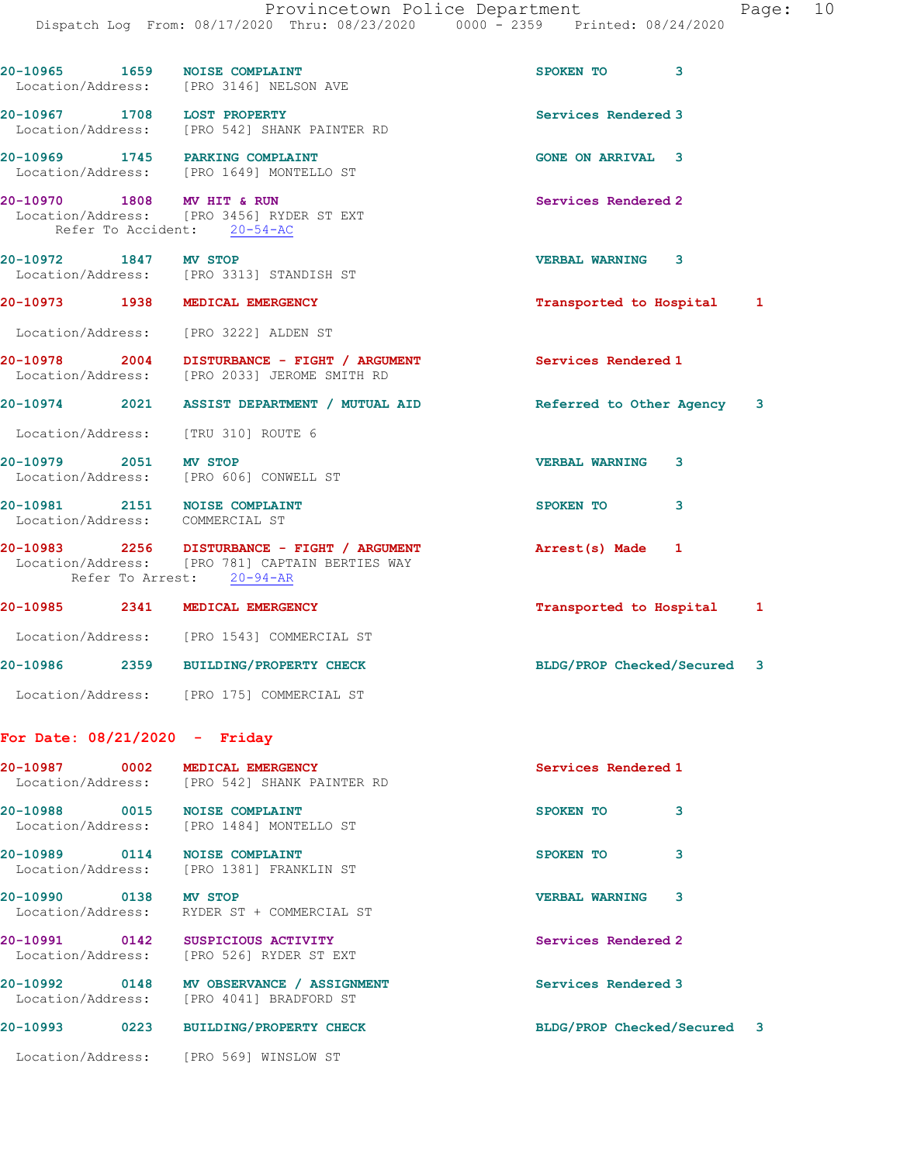|                       | 20-10965 1659 NOISE COMPLAINT<br>Location/Address: [PRO 3146] NELSON AVE                                                     | SPOKEN TO 3                 |
|-----------------------|------------------------------------------------------------------------------------------------------------------------------|-----------------------------|
|                       | 20-10967 1708 LOST PROPERTY<br>Location/Address: [PRO 542] SHANK PAINTER RD                                                  | Services Rendered 3         |
|                       | 20-10969 1745 PARKING COMPLAINT<br>Location/Address: [PRO 1649] MONTELLO ST                                                  | <b>GONE ON ARRIVAL 3</b>    |
|                       | 20-10970 1808 MV HIT & RUN<br>Location/Address: [PRO 3456] RYDER ST EXT<br>Refer To Accident: 20-54-AC                       | Services Rendered 2         |
| 20-10972 1847 MV STOP | Location/Address: [PRO 3313] STANDISH ST                                                                                     | <b>VERBAL WARNING 3</b>     |
|                       | 20-10973 1938 MEDICAL EMERGENCY                                                                                              | Transported to Hospital 1   |
|                       | Location/Address: [PRO 3222] ALDEN ST                                                                                        |                             |
|                       | 20-10978 2004 DISTURBANCE - FIGHT / ARGUMENT<br>Location/Address: [PRO 2033] JEROME SMITH RD                                 | Services Rendered 1         |
|                       | 20-10974 2021 ASSIST DEPARTMENT / MUTUAL AID                                                                                 | Referred to Other Agency 3  |
|                       | Location/Address: [TRU 310] ROUTE 6                                                                                          |                             |
| 20-10979 2051 MV STOP | Location/Address: [PRO 606] CONWELL ST                                                                                       | <b>VERBAL WARNING</b><br>3  |
|                       | 20-10981 2151 NOISE COMPLAINT<br>Location/Address: COMMERCIAL ST                                                             | SPOKEN TO<br>3              |
|                       | 20-10983 2256 DISTURBANCE - FIGHT / ARGUMENT<br>Location/Address: [PRO 781] CAPTAIN BERTIES WAY<br>Refer To Arrest: 20-94-AR | Arrest(s) Made 1            |
|                       | 20-10985 2341 MEDICAL EMERGENCY                                                                                              | Transported to Hospital 1   |
|                       | Location/Address: [PRO 1543] COMMERCIAL ST                                                                                   |                             |
|                       | 20-10986 2359 BUILDING/PROPERTY CHECK                                                                                        | BLDG/PROP Checked/Secured 3 |
|                       | Location/Address: [PRO 175] COMMERCIAL ST                                                                                    |                             |
|                       | For Date: $08/21/2020 -$ Friday                                                                                              |                             |
|                       | 20-10987 0002 MEDICAL EMERGENCY<br>Location/Address: [PRO 542] SHANK PAINTER RD                                              | Services Rendered 1         |
|                       | 20-10988 0015 NOISE COMPLAINT<br>Location/Address: [PRO 1484] MONTELLO ST                                                    | SPOKEN TO<br>3              |
|                       | 20-10989 0114 NOISE COMPLAINT<br>Location/Address: [PRO 1381] FRANKLIN ST                                                    | 3<br>SPOKEN TO              |
| 20-10990 0138 MV STOP | Location/Address: RYDER ST + COMMERCIAL ST                                                                                   | <b>VERBAL WARNING</b><br>3  |
|                       | 20-10991 0142 SUSPICIOUS ACTIVITY<br>Location/Address: [PRO 526] RYDER ST EXT                                                | Services Rendered 2         |
| 20-10992              | 0148 MV OBSERVANCE / ASSIGNMENT                                                                                              | Services Rendered 3         |

Location/Address: [PRO 4041] BRADFORD ST

20-10993 0223 BUILDING/PROPERTY CHECK BLDG/PROP Checked/Secured 3

Location/Address: [PRO 569] WINSLOW ST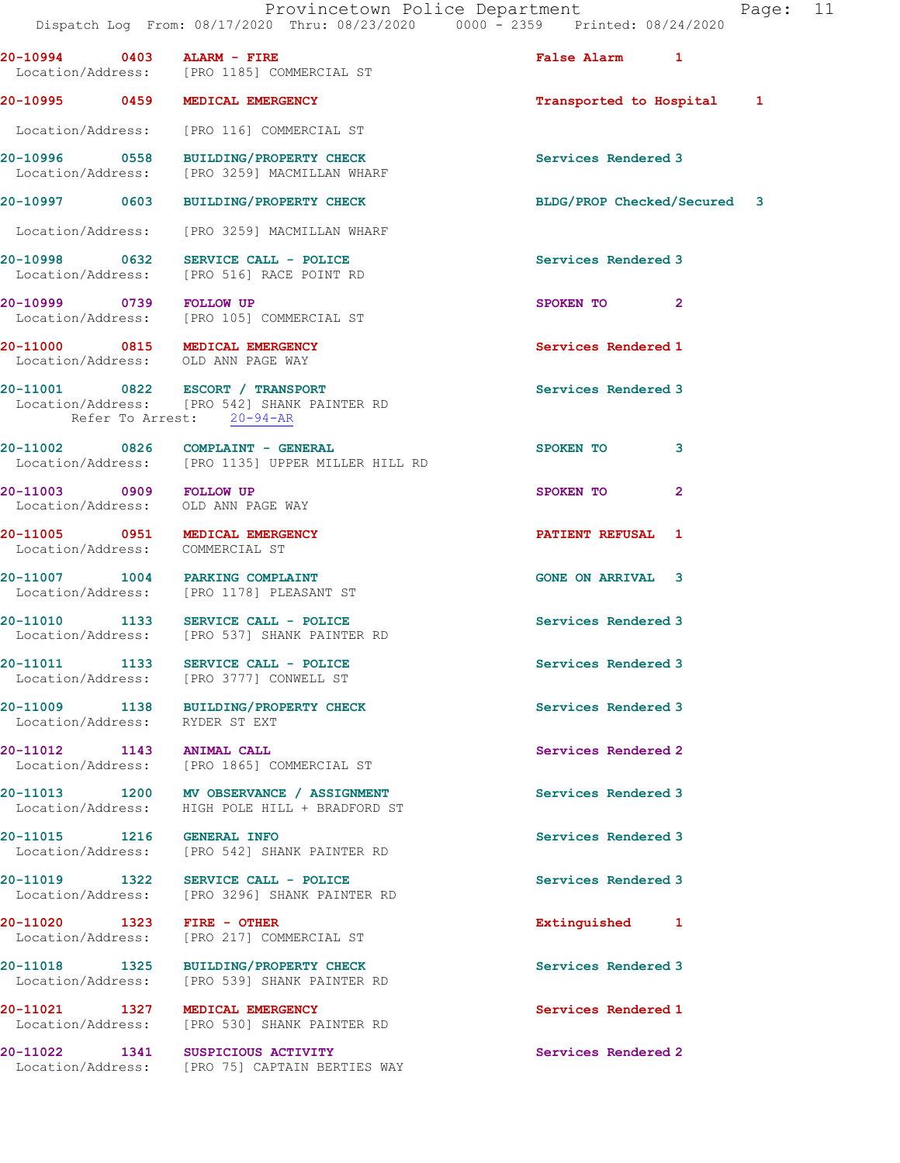| 20-10994 0403 ALARM - FIRE                      | Location/Address: [PRO 1185] COMMERCIAL ST                                                                    | False Alarm 1               |              |  |
|-------------------------------------------------|---------------------------------------------------------------------------------------------------------------|-----------------------------|--------------|--|
|                                                 | 20-10995 0459 MEDICAL EMERGENCY                                                                               | Transported to Hospital 1   |              |  |
|                                                 | Location/Address: [PRO 116] COMMERCIAL ST                                                                     |                             |              |  |
|                                                 | 20-10996 0558 BUILDING/PROPERTY CHECK<br>Location/Address: [PRO 3259] MACMILLAN WHARF                         | Services Rendered 3         |              |  |
|                                                 | 20-10997 0603 BUILDING/PROPERTY CHECK                                                                         | BLDG/PROP Checked/Secured 3 |              |  |
|                                                 | Location/Address: [PRO 3259] MACMILLAN WHARF                                                                  |                             |              |  |
|                                                 | 20-10998 0632 SERVICE CALL - POLICE<br>Location/Address: [PRO 516] RACE POINT RD                              | Services Rendered 3         |              |  |
| 20-10999 0739 FOLLOW UP                         | Location/Address: [PRO 105] COMMERCIAL ST                                                                     | SPOKEN TO 2                 |              |  |
|                                                 | 20-11000 0815 MEDICAL EMERGENCY<br>Location/Address: OLD ANN PAGE WAY                                         | Services Rendered 1         |              |  |
|                                                 | 20-11001 0822 ESCORT / TRANSPORT<br>Location/Address: [PRO 542] SHANK PAINTER RD<br>Refer To Arrest: 20-94-AR | Services Rendered 3         |              |  |
|                                                 | $20-11002$ 0826 COMPLAINT - GENERAL<br>Location/Address: [PRO 1135] UPPER MILLER HILL RD                      | SPOKEN TO                   | 3            |  |
|                                                 | 20-11003 0909 FOLLOW UP<br>Location/Address: OLD ANN PAGE WAY                                                 | SPOKEN TO                   | $\mathbf{2}$ |  |
|                                                 | 20-11005 0951 MEDICAL EMERGENCY<br>Location/Address: COMMERCIAL ST                                            | PATIENT REFUSAL 1           |              |  |
|                                                 | 20-11007 1004 PARKING COMPLAINT<br>Location/Address: [PRO 1178] PLEASANT ST                                   | <b>GONE ON ARRIVAL 3</b>    |              |  |
|                                                 | 20-11010 1133 SERVICE CALL - POLICE<br>Location/Address: [PRO 537] SHANK PAINTER RD                           | Services Rendered 3         |              |  |
|                                                 | 20-11011 1133 SERVICE CALL - POLICE<br>Location/Address: [PRO 3777] CONWELL ST                                | Services Rendered 3         |              |  |
| Location/Address: RYDER ST EXT                  | 20-11009 1138 BUILDING/PROPERTY CHECK                                                                         | Services Rendered 3         |              |  |
| 20-11012 1143 ANIMAL CALL                       | Location/Address: [PRO 1865] COMMERCIAL ST                                                                    | Services Rendered 2         |              |  |
|                                                 | 20-11013 1200 MV OBSERVANCE / ASSIGNMENT<br>Location/Address: HIGH POLE HILL + BRADFORD ST                    | Services Rendered 3         |              |  |
| 20-11015 1216 GENERAL INFO                      | Location/Address: [PRO 542] SHANK PAINTER RD                                                                  | Services Rendered 3         |              |  |
| 20-11019 1322                                   | SERVICE CALL - POLICE<br>Location/Address: [PRO 3296] SHANK PAINTER RD                                        | Services Rendered 3         |              |  |
| 20-11020 1323 FIRE - OTHER<br>Location/Address: | [PRO 217] COMMERCIAL ST                                                                                       | Extinguished 1              |              |  |
| 20-11018 1325                                   | BUILDING/PROPERTY CHECK<br>Location/Address: [PRO 539] SHANK PAINTER RD                                       | Services Rendered 3         |              |  |
|                                                 | 20-11021 1327 MEDICAL EMERGENCY<br>Location/Address: [PRO 530] SHANK PAINTER RD                               | Services Rendered 1         |              |  |
|                                                 | 20-11022 1341 SUSPICIOUS ACTIVITY<br>Location/Address: [PRO 75] CAPTAIN BERTIES WAY                           | Services Rendered 2         |              |  |
|                                                 |                                                                                                               |                             |              |  |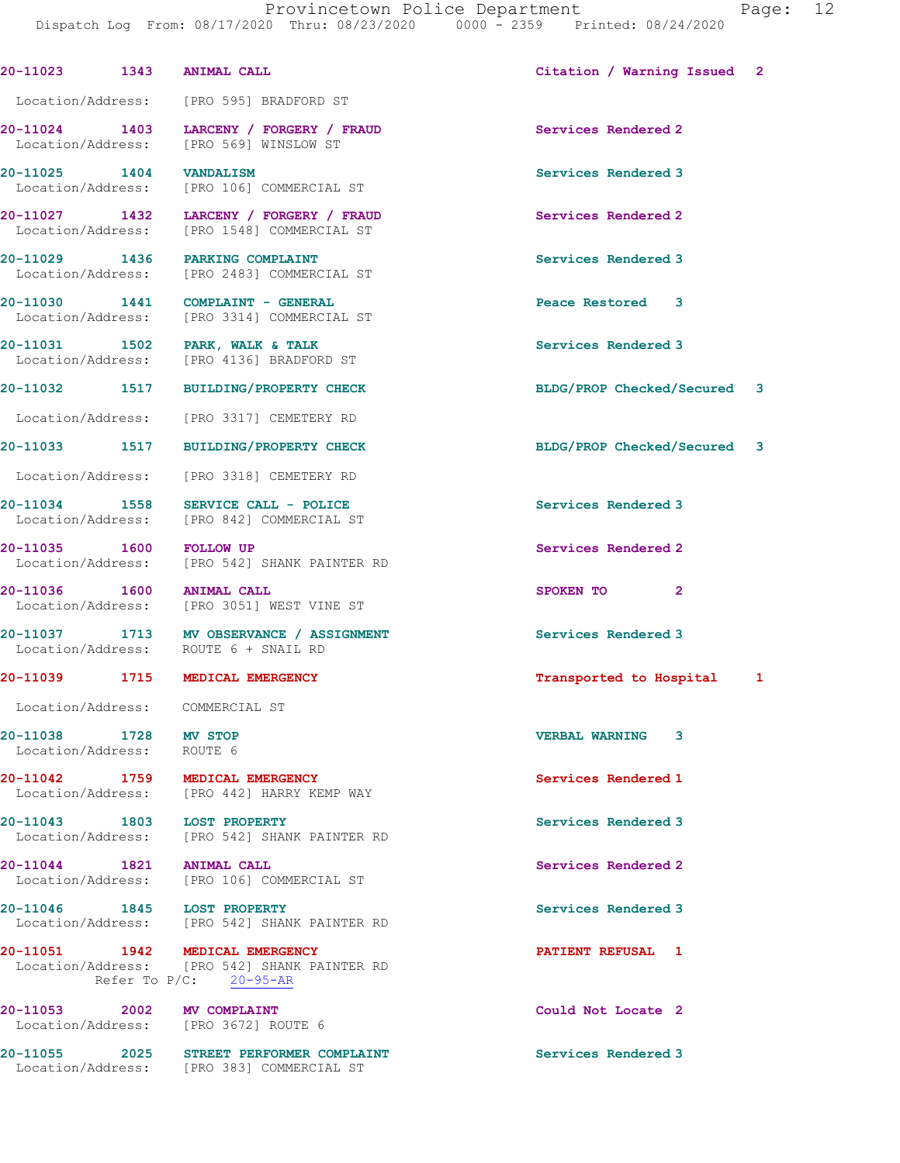Dispatch Log From: 08/17/2020 Thru: 08/23/2020 0000 - 2359 Printed: 08/24/2020 20-11023 1343 ANIMAL CALL Citation / Warning Issued 2 Location/Address: [PRO 595] BRADFORD ST 20-11024 1403 LARCENY / FORGERY / FRAUD Services Rendered 2 Location/Address: [PRO 569] WINSLOW ST 20-11025 1404 VANDALISM Services Rendered 3 Location/Address: [PRO 106] COMMERCIAL ST 20-11027 1432 LARCENY / FORGERY / FRAUD Services Rendered 2 Location/Address: [PRO 1548] COMMERCIAL ST 20-11029 1436 PARKING COMPLAINT Services Rendered 3 Location/Address: [PRO 2483] COMMERCIAL ST 20-11030 1441 COMPLAINT - GENERAL Peace Restored 3 Location/Address: [PRO 3314] COMMERCIAL ST 20-11031 1502 PARK, WALK & TALK Services Rendered 3 Location/Address: [PRO 4136] BRADFORD ST 20-11032 1517 BUILDING/PROPERTY CHECK BLDG/PROP Checked/Secured 3 Location/Address: [PRO 3317] CEMETERY RD 20-11033 1517 BUILDING/PROPERTY CHECK BLDG/PROP Checked/Secured 3 Location/Address: [PRO 3318] CEMETERY RD 20-11034 1558 SERVICE CALL - POLICE 20 Services Rendered 3 Location/Address: [PRO 842] COMMERCIAL ST 20-11035 1600 FOLLOW UP Services Rendered 2 Location/Address: [PRO 542] SHANK PAINTER RD 20-11036 1600 ANIMAL CALL SPOKEN TO 2 Location/Address: [PRO 3051] WEST VINE ST 20-11037 1713 MV OBSERVANCE / ASSIGNMENT Services Rendered 3 Location/Address: ROUTE 6 + SNAIL RD 20-11039 1715 MEDICAL EMERGENCY Transported to Hospital 1 Location/Address: COMMERCIAL ST 20-11038 1728 MV STOP 120 20-11038 20-11038 1728 MV STOP 120 VERBAL WARNING 3 Location/Address: 20-11042 1759 MEDICAL EMERGENCY Services Rendered 1 Location/Address: [PRO 442] HARRY KEMP WAY 20-11043 1803 LOST PROPERTY Services Rendered 3 Location/Address: [PRO 542] SHANK PAINTER RD 20-11044 1821 ANIMAL CALL Services Rendered 2 Location/Address: [PRO 106] COMMERCIAL ST 20-11046 1845 LOST PROPERTY Services Rendered 3 Location/Address: [PRO 542] SHANK PAINTER RD 20-11051 1942 MEDICAL EMERGENCY 1 20-11051 PATIENT REFUSAL 1 Location/Address: [PRO 542] SHANK PAINTER RD Refer To P/C: 20-95-AR 20-11053 2002 MV COMPLAINT Could Not Locate 2 Location/Address: [PRO 3672] ROUTE 6 20-11055 2025 STREET PERFORMER COMPLAINT Services Rendered 3 Location/Address: [PRO 383] COMMERCIAL ST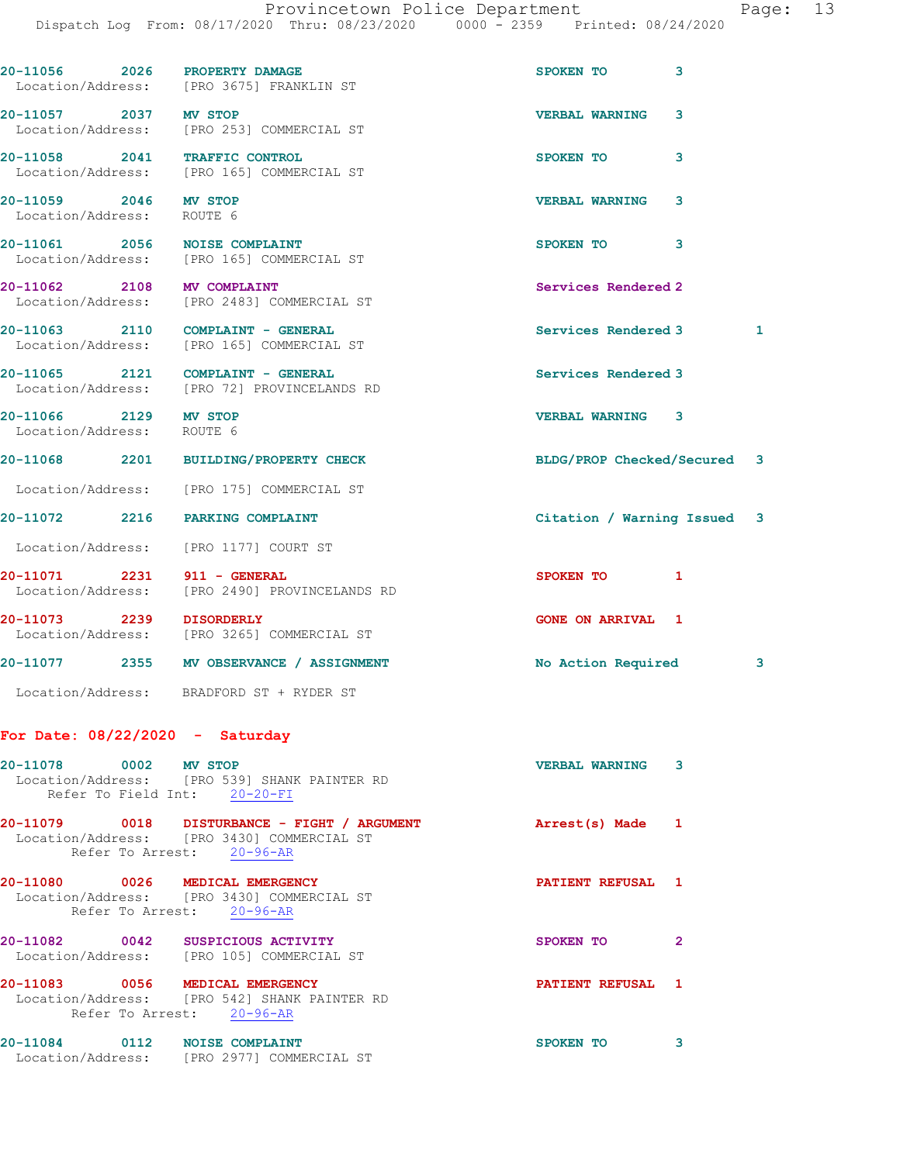|                                                    | 20-11056 2026 PROPERTY DAMAGE<br>Location/Address: [PRO 3675] FRANKLIN ST                                               | SPOKEN TO                   | 3              |   |
|----------------------------------------------------|-------------------------------------------------------------------------------------------------------------------------|-----------------------------|----------------|---|
| 20-11057 2037 MV STOP                              | Location/Address: [PRO 253] COMMERCIAL ST                                                                               | <b>VERBAL WARNING</b>       | 3              |   |
|                                                    | 20-11058 2041 TRAFFIC CONTROL<br>Location/Address: [PRO 165] COMMERCIAL ST                                              | SPOKEN TO                   | 3              |   |
| 20-11059 2046 MV STOP<br>Location/Address: ROUTE 6 |                                                                                                                         | <b>VERBAL WARNING</b>       | 3              |   |
|                                                    | 20-11061 2056 NOISE COMPLAINT<br>Location/Address: [PRO 165] COMMERCIAL ST                                              | SPOKEN TO                   | 3              |   |
| 20-11062 2108 MV COMPLAINT                         | Location/Address: [PRO 2483] COMMERCIAL ST                                                                              | Services Rendered 2         |                |   |
|                                                    | 20-11063 2110 COMPLAINT - GENERAL<br>Location/Address: [PRO 165] COMMERCIAL ST                                          | Services Rendered 3         |                | 1 |
|                                                    | 20-11065 2121 COMPLAINT - GENERAL<br>Location/Address: [PRO 72] PROVINCELANDS RD                                        | Services Rendered 3         |                |   |
| 20-11066 2129 MV STOP<br>Location/Address: ROUTE 6 |                                                                                                                         | <b>VERBAL WARNING 3</b>     |                |   |
|                                                    | 20-11068 2201 BUILDING/PROPERTY CHECK                                                                                   | BLDG/PROP Checked/Secured 3 |                |   |
|                                                    | Location/Address: [PRO 175] COMMERCIAL ST                                                                               |                             |                |   |
|                                                    | 20-11072 2216 PARKING COMPLAINT                                                                                         | Citation / Warning Issued 3 |                |   |
|                                                    | Location/Address: [PRO 1177] COURT ST                                                                                   |                             |                |   |
| 20-11071 2231 911 - GENERAL                        | Location/Address: [PRO 2490] PROVINCELANDS RD                                                                           | SPOKEN TO                   | 1              |   |
| 20-11073 2239 DISORDERLY                           | Location/Address: [PRO 3265] COMMERCIAL ST                                                                              | <b>GONE ON ARRIVAL 1</b>    |                |   |
|                                                    | 20-11077 2355 MV OBSERVANCE / ASSIGNMENT                                                                                | No Action Required          |                | 3 |
|                                                    | Location/Address: BRADFORD ST + RYDER ST                                                                                |                             |                |   |
| For Date: $08/22/2020 -$ Saturday                  |                                                                                                                         |                             |                |   |
| 20-11078 0002 MV STOP                              | Location/Address: [PRO 539] SHANK PAINTER RD<br>Refer To Field Int: 20-20-FI                                            | <b>VERBAL WARNING 3</b>     |                |   |
|                                                    | 20-11079 0018 DISTURBANCE - FIGHT / ARGUMENT<br>Location/Address: [PRO 3430] COMMERCIAL ST<br>Refer To Arrest: 20-96-AR | Arrest(s) Made 1            |                |   |
|                                                    | 20-11080 0026 MEDICAL EMERGENCY<br>Location/Address: [PRO 3430] COMMERCIAL ST<br>Refer To Arrest: 20-96-AR              | PATIENT REFUSAL 1           |                |   |
|                                                    | 20-11082 0042 SUSPICIOUS ACTIVITY<br>Location/Address: [PRO 105] COMMERCIAL ST                                          | SPOKEN TO                   | $\overline{2}$ |   |
|                                                    | 20-11083 0056 MEDICAL EMERGENCY<br>Location/Address: [PRO 542] SHANK PAINTER RD<br>Refer To Arrest: 20-96-AR            | <b>PATIENT REFUSAL 1</b>    |                |   |
|                                                    | 20-11084 0112 NOISE COMPLAINT                                                                                           | SPOKEN TO 3                 |                |   |

Location/Address: [PRO 2977] COMMERCIAL ST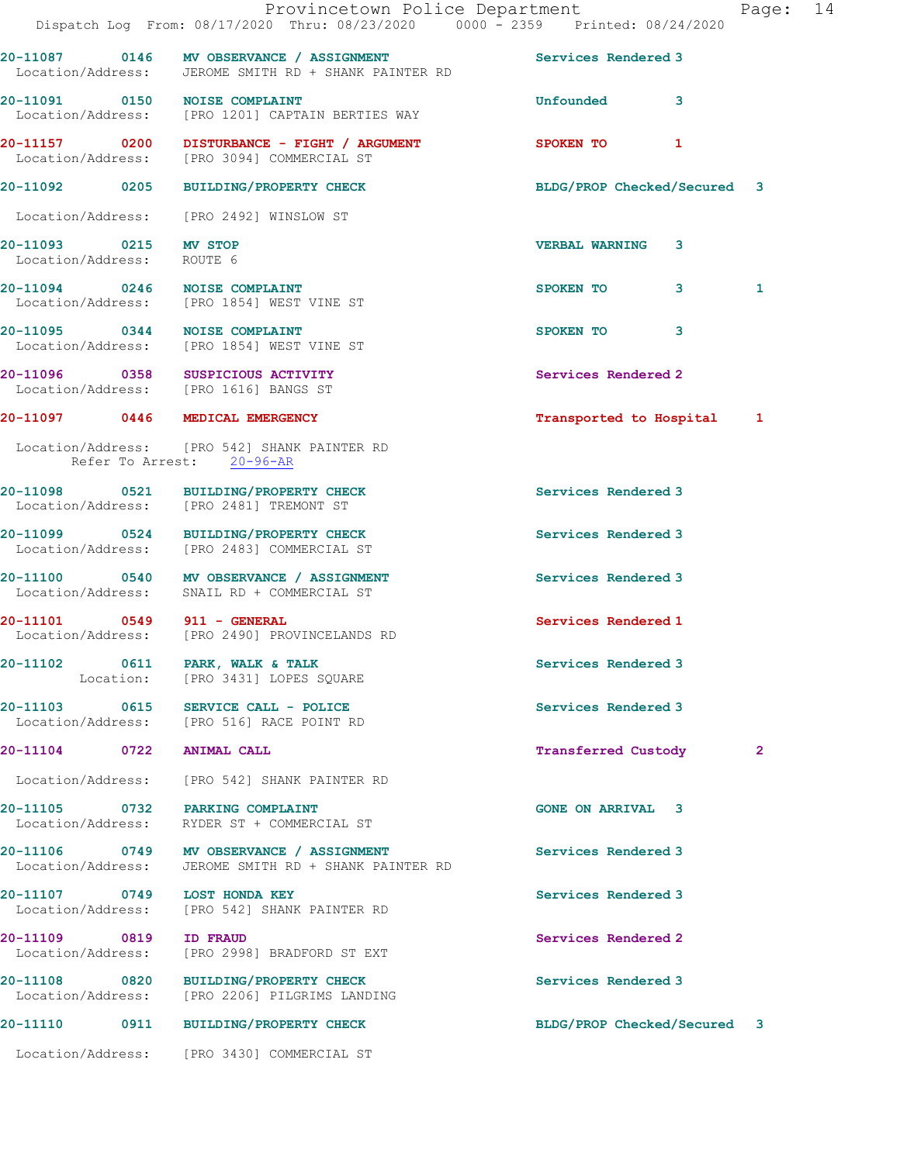|                                                    | Dispatch Log From: 08/17/2020 Thru: 08/23/2020 0000 - 2359 Printed: 08/24/2020                                       | Provincetown Police Department | Page: 14       |  |
|----------------------------------------------------|----------------------------------------------------------------------------------------------------------------------|--------------------------------|----------------|--|
|                                                    | 20-11087 0146 MV OBSERVANCE / ASSIGNMENT Services Rendered 3<br>Location/Address: JEROME SMITH RD + SHANK PAINTER RD |                                |                |  |
|                                                    | 20-11091 0150 NOISE COMPLAINT<br>Location/Address: [PRO 1201] CAPTAIN BERTIES WAY                                    | <b>Unfounded</b><br>3          |                |  |
|                                                    | 20-11157 0200 DISTURBANCE - FIGHT / ARGUMENT<br>Location/Address: [PRO 3094] COMMERCIAL ST                           | SPOKEN TO 1                    |                |  |
|                                                    | 20-11092 0205 BUILDING/PROPERTY CHECK                                                                                | BLDG/PROP Checked/Secured 3    |                |  |
|                                                    | Location/Address: [PRO 2492] WINSLOW ST                                                                              |                                |                |  |
| 20-11093 0215 MV STOP<br>Location/Address: ROUTE 6 |                                                                                                                      | <b>VERBAL WARNING 3</b>        |                |  |
|                                                    | 20-11094 0246 NOISE COMPLAINT<br>Location/Address: [PRO 1854] WEST VINE ST                                           | SPOKEN TO<br>3                 | 1              |  |
|                                                    | 20-11095 0344 NOISE COMPLAINT<br>Location/Address: [PRO 1854] WEST VINE ST                                           | SPOKEN TO 3                    |                |  |
|                                                    | 20-11096 0358 SUSPICIOUS ACTIVITY<br>Location/Address: [PRO 1616] BANGS ST                                           | Services Rendered 2            |                |  |
|                                                    | 20-11097 0446 MEDICAL EMERGENCY                                                                                      | Transported to Hospital 1      |                |  |
|                                                    | Location/Address: [PRO 542] SHANK PAINTER RD<br>Refer To Arrest: 20-96-AR                                            |                                |                |  |
|                                                    | 20-11098 0521 BUILDING/PROPERTY CHECK<br>Location/Address: [PRO 2481] TREMONT ST                                     | Services Rendered 3            |                |  |
|                                                    | 20-11099 0524 BUILDING/PROPERTY CHECK<br>Location/Address: [PRO 2483] COMMERCIAL ST                                  | Services Rendered 3            |                |  |
|                                                    | 20-11100 0540 MV OBSERVANCE / ASSIGNMENT<br>Location/Address: SNAIL RD + COMMERCIAL ST                               | Services Rendered 3            |                |  |
| 20-11101 0549 911 - GENERAL                        | Location/Address: [PRO 2490] PROVINCELANDS RD                                                                        | Services Rendered 1            |                |  |
|                                                    | 20-11102 0611 PARK, WALK & TALK<br>Location: [PRO 3431] LOPES SQUARE                                                 | Services Rendered 3            |                |  |
|                                                    | 20-11103 0615 SERVICE CALL - POLICE<br>Location/Address: [PRO 516] RACE POINT RD                                     | Services Rendered 3            |                |  |
| 20-11104 0722 ANIMAL CALL                          |                                                                                                                      | Transferred Custody            | $\overline{2}$ |  |
|                                                    | Location/Address: [PRO 542] SHANK PAINTER RD                                                                         |                                |                |  |
| Location/Address:                                  | 20-11105 0732 PARKING COMPLAINT<br>RYDER ST + COMMERCIAL ST                                                          | <b>GONE ON ARRIVAL 3</b>       |                |  |
|                                                    | 20-11106 0749 MV OBSERVANCE / ASSIGNMENT<br>Location/Address: JEROME SMITH RD + SHANK PAINTER RD                     | Services Rendered 3            |                |  |
| Location/Address:                                  | 20-11107 0749 LOST HONDA KEY<br>[PRO 542] SHANK PAINTER RD                                                           | Services Rendered 3            |                |  |
| 20-11109 0819                                      | <b>ID FRAUD</b><br>Location/Address: [PRO 2998] BRADFORD ST EXT                                                      | Services Rendered 2            |                |  |
|                                                    | 20-11108 0820 BUILDING/PROPERTY CHECK<br>Location/Address: [PRO 2206] PILGRIMS LANDING                               | Services Rendered 3            |                |  |
|                                                    | 20-11110 0911 BUILDING/PROPERTY CHECK                                                                                | BLDG/PROP Checked/Secured 3    |                |  |
|                                                    | Location/Address: [PRO 3430] COMMERCIAL ST                                                                           |                                |                |  |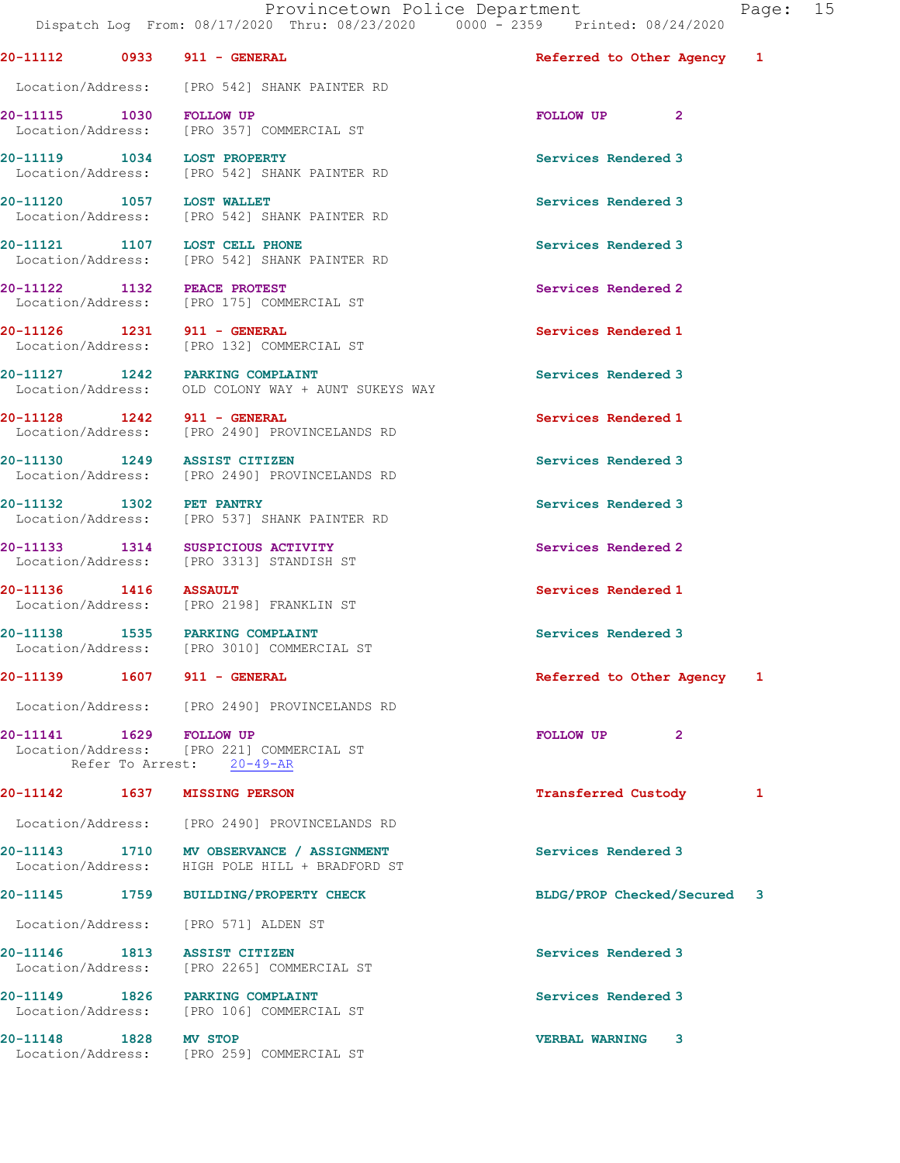Provincetown Police Department Fage: 15 Dispatch Log From: 08/17/2020 Thru: 08/23/2020 0000 - 2359 Printed: 08/24/2020 20-11112 0933 911 - GENERAL Referred to Other Agency 1 Location/Address: [PRO 542] SHANK PAINTER RD 20-11115 1030 FOLLOW UP FOLLOW UP 2 Location/Address: [PRO 357] COMMERCIAL ST 20-11119 1034 LOST PROPERTY Services Rendered 3 Location/Address: [PRO 542] SHANK PAINTER RD 20-11120 1057 LOST WALLET<br>
Location/Address: [PRO 542] SHANK PAINTER RD<br>
Location/Address: [PRO 542] SHANK PAINTER RD [PRO 542] SHANK PAINTER RD 20-11121 1107 LOST CELL PHONE 20-11121 Services Rendered 3 Location/Address: [PRO 542] SHANK PAINTER RD 20-11122 1132 PEACE PROTEST Services Rendered 2 Location/Address: [PRO 175] COMMERCIAL ST 20-11126 1231 911 - GENERAL Services Rendered 1 Location/Address: [PRO 132] COMMERCIAL ST 20-11127 1242 PARKING COMPLAINT Services Rendered 3 Location/Address: OLD COLONY WAY + AUNT SUKEYS WAY 20-11128 1242 911 - GENERAL Services Rendered 1 Location/Address: [PRO 2490] PROVINCELANDS RD 20-11130 1249 ASSIST CITIZEN Services Rendered 3 Location/Address: [PRO 2490] PROVINCELANDS RD 20-11132 1302 PET PANTRY Services Rendered 3 Location/Address: [PRO 537] SHANK PAINTER RD 20-11133 1314 SUSPICIOUS ACTIVITY 1990 Services Rendered 2 Location/Address: [PRO 3313] STANDISH ST 20-11136 1416 ASSAULT 1000111136 1416 Services Rendered 1<br>
Location/Address: [PRO 2198] FRANKLIN ST [PRO 2198] FRANKLIN ST 20-11138 1535 PARKING COMPLAINT Services Rendered 3 Location/Address: [PRO 3010] COMMERCIAL ST 20-11139 1607 911 - GENERAL Referred to Other Agency 1 Location/Address: [PRO 2490] PROVINCELANDS RD 20-11141 1629 FOLLOW UP **FOLLOW UP** 2 Location/Address: [PRO 221] COMMERCIAL ST Refer To Arrest: 20-49-AR 20-11142 1637 MISSING PERSON Transferred Custody 1 Location/Address: [PRO 2490] PROVINCELANDS RD 20-11143 1710 MV OBSERVANCE / ASSIGNMENT Services Rendered 3 Location/Address: HIGH POLE HILL + BRADFORD ST 20-11145 1759 BUILDING/PROPERTY CHECK BLDG/PROP Checked/Secured 3 Location/Address: [PRO 571] ALDEN ST 20-11146 1813 ASSIST CITIZEN Services Rendered 3 Location/Address: [PRO 2265] COMMERCIAL ST 20-11149 1826 PARKING COMPLAINT Services Rendered 3 Location/Address: [PRO 106] COMMERCIAL ST 20-11148 1828 MV STOP VERBAL WARNING 3

Location/Address: [PRO 259] COMMERCIAL ST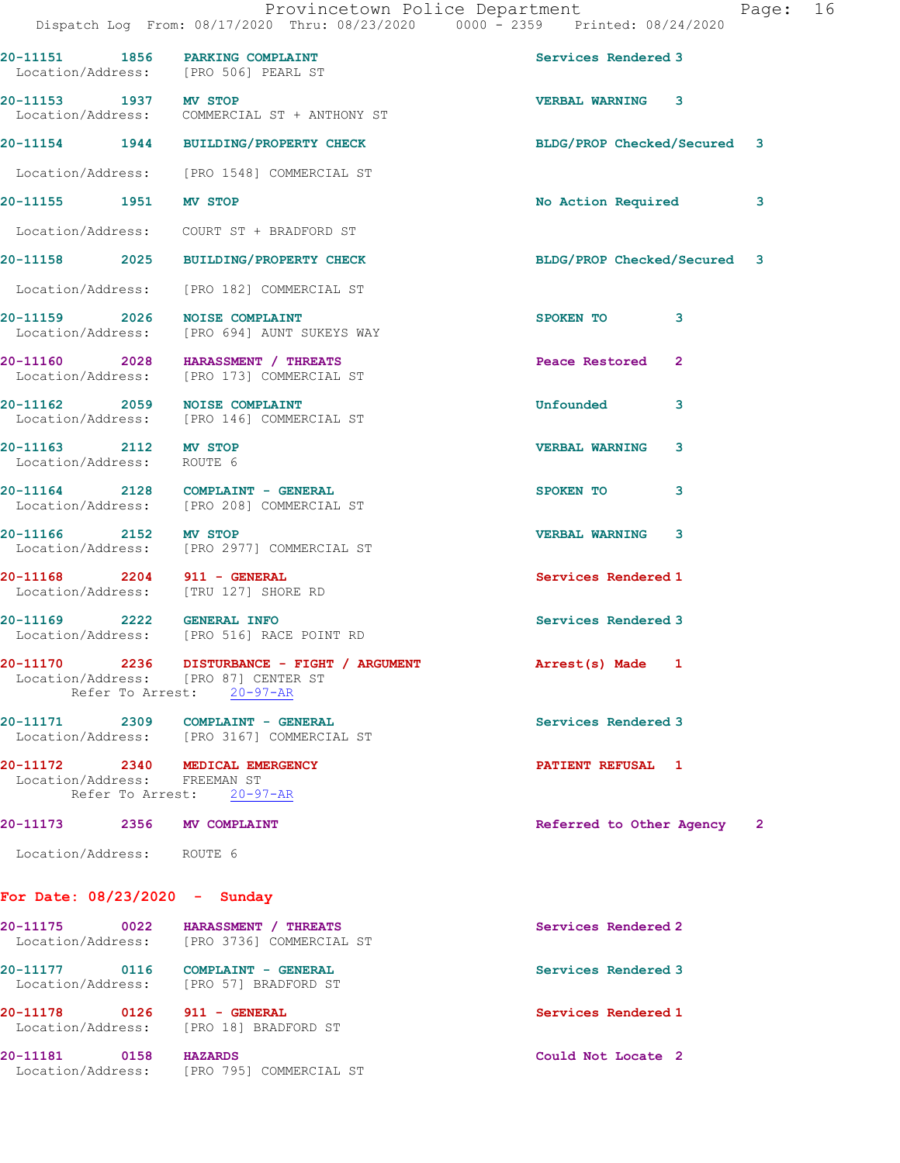|                                                |  |  | Provincetown Police Department |  |                                 | Page: 16 |  |
|------------------------------------------------|--|--|--------------------------------|--|---------------------------------|----------|--|
| Dispatch Log From: 08/17/2020 Thru: 08/23/2020 |  |  |                                |  | 0000 - 2359 Printed: 08/24/2020 |          |  |

|                                                                 |                                                                                                                                    | Dispatch Log From: $08/17/2020$ Thru: $08/23/2020$ 0000 - 2359 Printed: 08/24/2020 |
|-----------------------------------------------------------------|------------------------------------------------------------------------------------------------------------------------------------|------------------------------------------------------------------------------------|
| 20-11151 1856 PARKING COMPLAINT                                 | Location/Address: [PRO 506] PEARL ST                                                                                               | Services Rendered 3                                                                |
| 20-11153 1937 MV STOP                                           | Location/Address: COMMERCIAL ST + ANTHONY ST                                                                                       | <b>VERBAL WARNING 3</b>                                                            |
|                                                                 | 20-11154 1944 BUILDING/PROPERTY CHECK                                                                                              | BLDG/PROP Checked/Secured 3                                                        |
|                                                                 | Location/Address: [PRO 1548] COMMERCIAL ST                                                                                         |                                                                                    |
| 20-11155 1951 MV STOP                                           |                                                                                                                                    | No Action Required<br>3                                                            |
|                                                                 | Location/Address: COURT ST + BRADFORD ST                                                                                           |                                                                                    |
|                                                                 | 20-11158 2025 BUILDING/PROPERTY CHECK                                                                                              | BLDG/PROP Checked/Secured 3                                                        |
|                                                                 | Location/Address: [PRO 182] COMMERCIAL ST                                                                                          |                                                                                    |
| 20-11159 2026 NOISE COMPLAINT                                   | Location/Address: [PRO 694] AUNT SUKEYS WAY                                                                                        | SPOKEN TO<br>3                                                                     |
|                                                                 | 20-11160 2028 HARASSMENT / THREATS<br>Location/Address: [PRO 173] COMMERCIAL ST                                                    | Peace Restored<br>$\overline{2}$                                                   |
| 20-11162 2059 NOISE COMPLAINT                                   | Location/Address: [PRO 146] COMMERCIAL ST                                                                                          | <b>Unfounded</b><br>3                                                              |
| 20-11163 2112 MV STOP<br>Location/Address: ROUTE 6              |                                                                                                                                    | <b>VERBAL WARNING</b><br>3                                                         |
|                                                                 | 20-11164 2128 COMPLAINT - GENERAL<br>Location/Address: [PRO 208] COMMERCIAL ST                                                     | SPOKEN TO<br>3                                                                     |
|                                                                 | 20-11166 2152 MV STOP<br>Location/Address: [PRO 2977] COMMERCIAL ST                                                                | <b>VERBAL WARNING 3</b>                                                            |
| 20-11168 2204 911 - GENERAL                                     | Location/Address: [TRU 127] SHORE RD                                                                                               | Services Rendered 1                                                                |
|                                                                 | 20-11169  2222  GENERAL INFO<br>Location/Address: [PRO 516] RACE POINT RD                                                          | Services Rendered 3                                                                |
|                                                                 | 20-11170 2236 DISTURBANCE - FIGHT / ARGUMENT Arrest(s) Made 1<br>Location/Address: [PRO 87] CENTER ST<br>Refer To Arrest: 20-97-AR |                                                                                    |
|                                                                 | 20-11171 2309 COMPLAINT - GENERAL<br>Location/Address: [PRO 3167] COMMERCIAL ST                                                    | Services Rendered 3                                                                |
| 20-11172 2340 MEDICAL EMERGENCY<br>Location/Address: FREEMAN ST | Refer To Arrest: 20-97-AR                                                                                                          | PATIENT REFUSAL 1                                                                  |
| 20-11173 2356 MV COMPLAINT                                      |                                                                                                                                    | Referred to Other Agency 2                                                         |
| Location/Address: ROUTE 6                                       |                                                                                                                                    |                                                                                    |

## 20-11175 0022 HARASSMENT / THREATS Services Rendered 2 Location/Address: [PRO 3736] COMMERCIAL ST 20-11177 0116 COMPLAINT - GENERAL Services Rendered 3 Location/Address: [PRO 57] BRADFORD ST 20-11178 0126 911 - GENERAL Services Rendered 1 Location/Address: [PRO 18] BRADFORD ST 20-11181 0158 HAZARDS Could Not Locate 2 Location/Address: [PRO 795] COMMERCIAL ST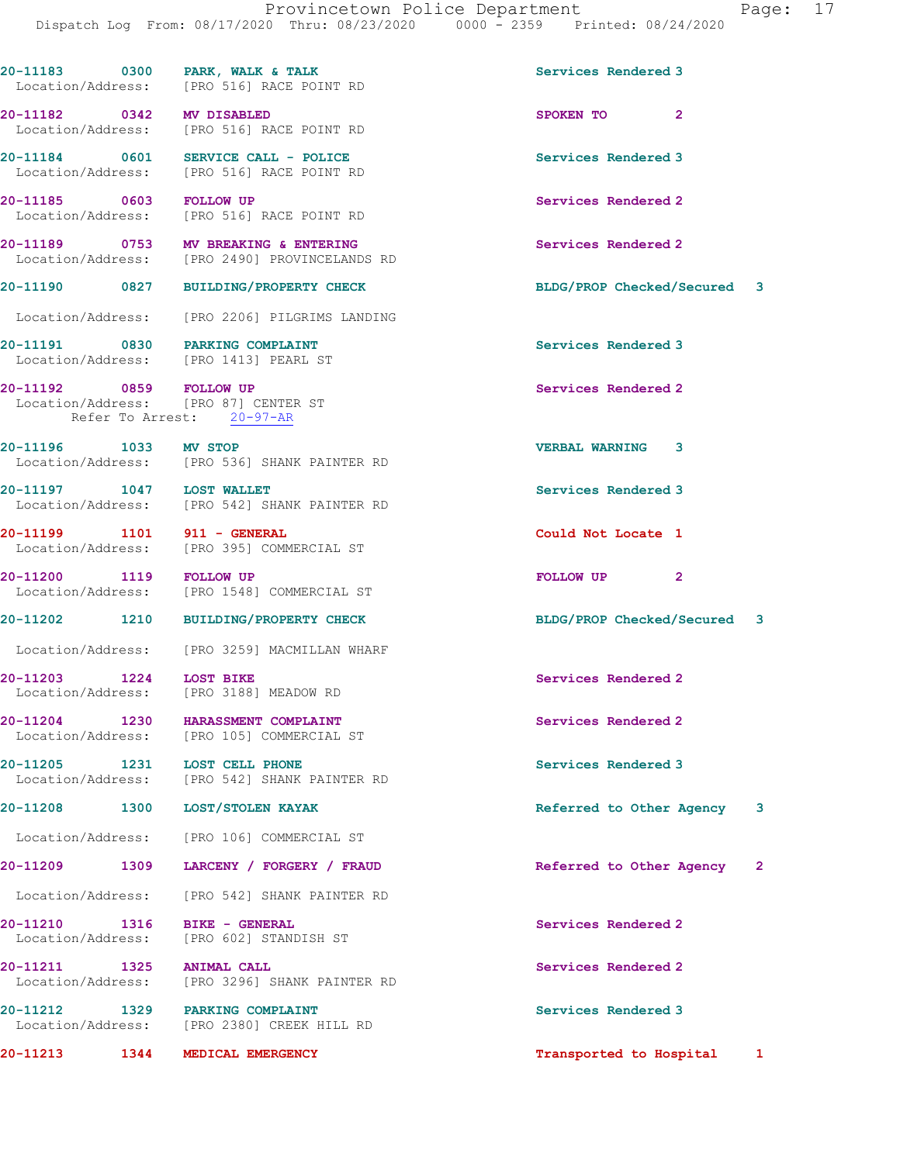|                               |      | 20-11183 0300 PARK, WALK & TALK<br>Location/Address: [PRO 516] RACE POINT RD                 | Services Rendered 3         |                          |   |
|-------------------------------|------|----------------------------------------------------------------------------------------------|-----------------------------|--------------------------|---|
| 20-11182 0342 MV DISABLED     |      | Location/Address: [PRO 516] RACE POINT RD                                                    | SPOKEN TO 2                 |                          |   |
|                               |      | 20-11184 0601 SERVICE CALL - POLICE<br>Location/Address: [PRO 516] RACE POINT RD             | Services Rendered 3         |                          |   |
| 20-11185 0603 FOLLOW UP       |      | Location/Address: [PRO 516] RACE POINT RD                                                    | Services Rendered 2         |                          |   |
|                               |      | 20-11189 0753 MV BREAKING & ENTERING<br>Location/Address: [PRO 2490] PROVINCELANDS RD        | Services Rendered 2         |                          |   |
|                               |      | 20-11190 0827 BUILDING/PROPERTY CHECK                                                        | BLDG/PROP Checked/Secured 3 |                          |   |
|                               |      | Location/Address: [PRO 2206] PILGRIMS LANDING                                                |                             |                          |   |
|                               |      | 20-11191 0830 PARKING COMPLAINT<br>Location/Address: [PRO 1413] PEARL ST                     | Services Rendered 3         |                          |   |
|                               |      | 20-11192 0859 FOLLOW UP<br>Location/Address: [PRO 87] CENTER ST<br>Refer To Arrest: 20-97-AR | Services Rendered 2         |                          |   |
| 20-11196 1033 MV STOP         |      | Location/Address: [PRO 536] SHANK PAINTER RD                                                 | <b>VERBAL WARNING 3</b>     |                          |   |
| 20-11197 1047 LOST WALLET     |      | Location/Address: [PRO 542] SHANK PAINTER RD                                                 | Services Rendered 3         |                          |   |
| 20-11199 1101 911 - GENERAL   |      | Location/Address: [PRO 395] COMMERCIAL ST                                                    | Could Not Locate 1          |                          |   |
| 20-11200 1119 FOLLOW UP       |      | Location/Address: [PRO 1548] COMMERCIAL ST                                                   | FOLLOW UP <sub>2</sub>      |                          |   |
|                               |      | 20-11202 1210 BUILDING/PROPERTY CHECK                                                        | BLDG/PROP Checked/Secured 3 |                          |   |
|                               |      | Location/Address: [PRO 3259] MACMILLAN WHARF                                                 |                             |                          |   |
| 20-11203 1224 LOST BIKE       |      | Location/Address: [PRO 3188] MEADOW RD                                                       | Services Rendered 2         |                          |   |
| 20-11204<br>Location/Address: | 1230 | HARASSMENT COMPLAINT<br>[PRO 105] COMMERCIAL ST                                              | Services Rendered 2         |                          |   |
| 20-11205<br>Location/Address: | 1231 | LOST CELL PHONE<br>[PRO 542] SHANK PAINTER RD                                                | Services Rendered 3         |                          |   |
| 20-11208                      | 1300 | LOST/STOLEN KAYAK                                                                            | Referred to Other Agency    |                          | 3 |
| Location/Address:             |      | [PRO 106] COMMERCIAL ST                                                                      |                             |                          |   |
| 20-11209                      | 1309 | LARCENY / FORGERY / FRAUD                                                                    | Referred to Other Agency    | $\overline{\phantom{0}}$ |   |
| Location/Address:             |      | [PRO 542] SHANK PAINTER RD                                                                   |                             |                          |   |
| 20-11210<br>Location/Address: | 1316 | <b>BIKE - GENERAL</b><br>[PRO 602] STANDISH ST                                               | Services Rendered 2         |                          |   |
| 20-11211<br>Location/Address: | 1325 | <b>ANIMAL CALL</b><br>[PRO 3296] SHANK PAINTER RD                                            | Services Rendered 2         |                          |   |
| 20-11212<br>Location/Address: | 1329 | PARKING COMPLAINT<br>[PRO 2380] CREEK HILL RD                                                | Services Rendered 3         |                          |   |
| 20-11213                      | 1344 | MEDICAL EMERGENCY                                                                            | Transported to Hospital     |                          | 1 |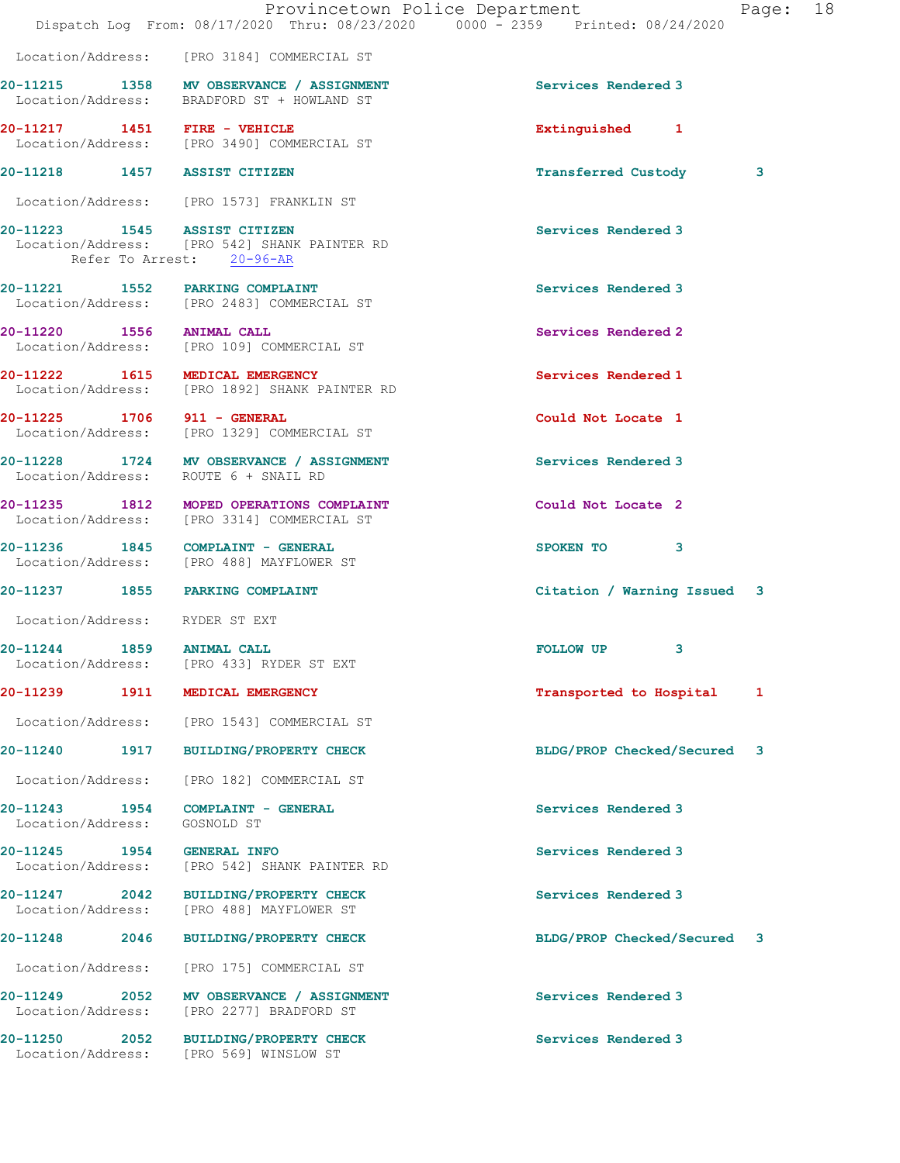|                                                                                   |                           | Provincetown Police Department<br>Dispatch Log From: 08/17/2020 Thru: 08/23/2020 0000 - 2359 Printed: 08/24/2020 |                             |   | Page: 18 |  |
|-----------------------------------------------------------------------------------|---------------------------|------------------------------------------------------------------------------------------------------------------|-----------------------------|---|----------|--|
|                                                                                   |                           | Location/Address: [PRO 3184] COMMERCIAL ST                                                                       |                             |   |          |  |
| Location/Address: BRADFORD ST + HOWLAND ST                                        |                           | 20-11215 1358 MV OBSERVANCE / ASSIGNMENT                                                                         | Services Rendered 3         |   |          |  |
| Location/Address: [PRO 3490] COMMERCIAL ST                                        |                           |                                                                                                                  | Extinguished 1              |   |          |  |
| 20-11218 1457 ASSIST CITIZEN                                                      |                           |                                                                                                                  | <b>Transferred Custody</b>  |   | 3        |  |
| Location/Address: [PRO 1573] FRANKLIN ST                                          |                           |                                                                                                                  |                             |   |          |  |
| 20-11223 1545 ASSIST CITIZEN                                                      | Refer To Arrest: 20-96-AR | Location/Address: [PRO 542] SHANK PAINTER RD                                                                     | Services Rendered 3         |   |          |  |
| 20-11221 1552 PARKING COMPLAINT<br>Location/Address: [PRO 2483] COMMERCIAL ST     |                           |                                                                                                                  | Services Rendered 3         |   |          |  |
| 20-11220 1556 ANIMAL CALL<br>Location/Address: [PRO 109] COMMERCIAL ST            |                           |                                                                                                                  | Services Rendered 2         |   |          |  |
| 20-11222 1615 MEDICAL EMERGENCY                                                   |                           | Location/Address: [PRO 1892] SHANK PAINTER RD                                                                    | Services Rendered 1         |   |          |  |
| 20-11225 1706 911 - GENERAL<br>Location/Address: [PRO 1329] COMMERCIAL ST         |                           |                                                                                                                  | Could Not Locate 1          |   |          |  |
| Location/Address: ROUTE 6 + SNAIL RD                                              |                           | 20-11228 1724 MV OBSERVANCE / ASSIGNMENT                                                                         | Services Rendered 3         |   |          |  |
| Location/Address: [PRO 3314] COMMERCIAL ST                                        |                           | 20-11235 1812 MOPED OPERATIONS COMPLAINT                                                                         | Could Not Locate 2          |   |          |  |
| 20-11236 1845 COMPLAINT - GENERAL<br>Location/Address: [PRO 488] MAYFLOWER ST     |                           |                                                                                                                  | SPOKEN TO 3                 |   |          |  |
| 20-11237 1855 PARKING COMPLAINT                                                   |                           |                                                                                                                  | Citation / Warning Issued 3 |   |          |  |
| Location/Address: RYDER ST EXT                                                    |                           |                                                                                                                  |                             |   |          |  |
| 20-11244 1859 ANIMAL CALL<br>Location/Address: [PRO 433] RYDER ST EXT             |                           |                                                                                                                  | FOLLOW UP                   | 3 |          |  |
| 20-11239 1911 MEDICAL EMERGENCY                                                   |                           |                                                                                                                  | Transported to Hospital     |   | 1        |  |
|                                                                                   |                           | Location/Address: [PRO 1543] COMMERCIAL ST                                                                       |                             |   |          |  |
| 20-11240 1917 BUILDING/PROPERTY CHECK                                             |                           |                                                                                                                  | BLDG/PROP Checked/Secured 3 |   |          |  |
| Location/Address: [PRO 182] COMMERCIAL ST                                         |                           |                                                                                                                  |                             |   |          |  |
| 20-11243 1954 COMPLAINT - GENERAL<br>Location/Address:                            | GOSNOLD ST                |                                                                                                                  | Services Rendered 3         |   |          |  |
| 20-11245   1954   GENERAL INFO                                                    |                           | Location/Address: [PRO 542] SHANK PAINTER RD                                                                     | Services Rendered 3         |   |          |  |
| 20-11247 2042 BUILDING/PROPERTY CHECK<br>Location/Address: [PRO 488] MAYFLOWER ST |                           |                                                                                                                  | Services Rendered 3         |   |          |  |
| 20-11248 2046                                                                     |                           | <b>BUILDING/PROPERTY CHECK</b>                                                                                   | BLDG/PROP Checked/Secured 3 |   |          |  |
| Location/Address:                                                                 |                           | [PRO 175] COMMERCIAL ST                                                                                          |                             |   |          |  |
| Location/Address: [PRO 2277] BRADFORD ST                                          |                           | 20-11249 2052 MV OBSERVANCE / ASSIGNMENT                                                                         | Services Rendered 3         |   |          |  |
| 20-11250 2052 BUILDING/PROPERTY CHECK<br>Location/Address: [PRO 569] WINSLOW ST   |                           |                                                                                                                  | Services Rendered 3         |   |          |  |